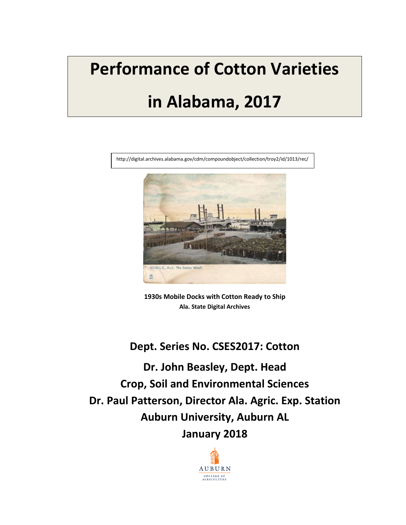# **Performance of Cotton Varieties in Alabama, 2017**



**1930s Mobile Docks with Cotton Ready to Ship Ala. State Digital Archives**

# **Dept. Series No. CSES2017: Cotton**

**Dr. John Beasley, Dept. Head Crop, Soil and Environmental Sciences Dr. Paul Patterson, Director Ala. Agric. Exp. Station Auburn University, Auburn AL January 2018**

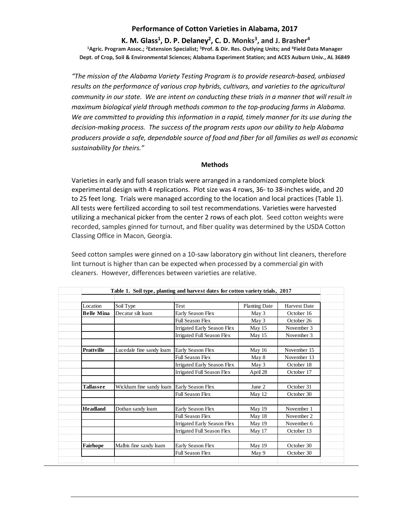## **Performance of Cotton Varieties in Alabama, 2017**

#### **K. M. Glass1, D. P. Delaney2, C. D. Monks3, and J. Brasher4 1Agric. Program Assoc.; 2Extension Specialist; 3Prof. & Dir. Res. Outlying Units; and 4Field Data Manager Dept. of Crop, Soil & Environmental Sciences; Alabama Experiment Station; and ACES Auburn Univ., AL 36849**

*"The mission of the Alabama Variety Testing Program is to provide research-based, unbiased*  results on the performance of various crop hybrids, cultivars, and varieties to the *agricultural community in our state. We are intent on conducting these trials in a manner that will result in maximum biological yield through methods common to the top-producing farms in Alabama. We are committed to providing this information in a rapid, timely manner for its use during the decision-making process. The success of the program rests upon our ability to help Alabama producers provide a safe, dependable source of food and fiber for all families as well as economic sustainability for theirs."*

#### **Methods**

Varieties in early and full season trials were arranged in a randomized complete block experimental design with 4 replications. Plot size was 4 rows, 36- to 38-inches wide, and 20 to 25 feet long. Trials were managed according to the location and local practices (Table 1). All tests were fertilized according to soil test recommendations. Varieties were harvested utilizing a mechanical picker from the center 2 rows of each plot. Seed cotton weights were recorded, samples ginned for turnout, and fiber quality was determined by the USDA Cotton Classing Office in Macon, Georgia.

Seed cotton samples were ginned on a 10-saw laboratory gin without lint cleaners, therefore lint turnout is higher than can be expected when processed by a commercial gin with cleaners. However, differences between varieties are relative.

| Location          | Soil Type                | <b>Test</b>                        | <b>Planting Date</b> | <b>Harvest Date</b> |
|-------------------|--------------------------|------------------------------------|----------------------|---------------------|
| <b>Belle Mina</b> | Decatur silt loam        | Early Season Flex                  | May 3                | October 16          |
|                   |                          | <b>Full Season Flex</b>            | May 3                | October 26          |
|                   |                          | Irrigated Early Season Flex        | May 15               | November 3          |
|                   |                          | <b>Irrigated Full Season Flex</b>  | May 15               | November 3          |
| <b>Prattville</b> | Lucedale fine sandy loam | Early Season Flex                  | May 16               | November 15         |
|                   |                          | <b>Full Season Flex</b>            | May 8                | November 13         |
|                   |                          | <b>Irrigated Early Season Flex</b> | May 3                | October 18          |
|                   |                          | Irrigated Full Season Flex         | April 28             | October 17          |
| <b>Tallassee</b>  | Wickham fine sandy loam  | Early Season Flex                  | June 2               | October 31          |
|                   |                          | <b>Full Season Flex</b>            | May 12               | October 30          |
| <b>Headland</b>   | Dothan sandy loam        | Early Season Flex                  | May 19               | November 1          |
|                   |                          | <b>Full Season Flex</b>            | May 18               | November 2          |
|                   |                          | Irrigated Early Season Flex        | May 19               | November 6          |
|                   |                          | Irrigated Full Season Flex         | May 17               | October 13          |
| Fairhope          | Malbis fine sandy loam   | Early Season Flex                  | May 19               | October 30          |
|                   |                          | <b>Full Season Flex</b>            | May 9                | October 30          |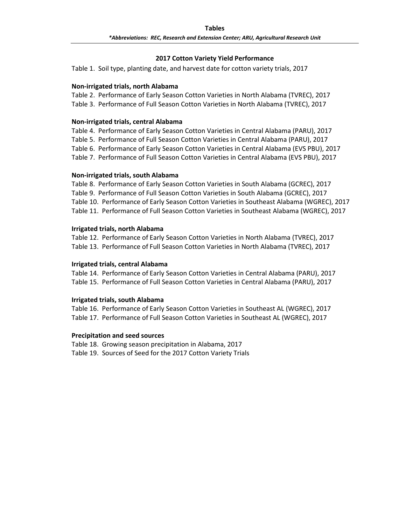### **2017 Cotton Variety Yield Performance**

Table 1. Soil type, planting date, and harvest date for cotton variety trials, 2017

#### **Non-irrigated trials, north Alabama**

Table 2. Performance of Early Season Cotton Varieties in North Alabama (TVREC), 2017 Table 3. Performance of Full Season Cotton Varieties in North Alabama (TVREC), 2017

#### **Non-irrigated trials, central Alabama**

Table 4. Performance of Early Season Cotton Varieties in Central Alabama (PARU), 2017 Table 5. Performance of Full Season Cotton Varieties in Central Alabama (PARU), 2017 Table 6. Performance of Early Season Cotton Varieties in Central Alabama (EVS PBU), 2017 Table 7. Performance of Full Season Cotton Varieties in Central Alabama (EVS PBU), 2017

#### **Non-irrigated trials, south Alabama**

Table 8. Performance of Early Season Cotton Varieties in South Alabama (GCREC), 2017 Table 9. Performance of Full Season Cotton Varieties in South Alabama (GCREC), 2017 Table 10. Performance of Early Season Cotton Varieties in Southeast Alabama (WGREC), 2017 Table 11. Performance of Full Season Cotton Varieties in Southeast Alabama (WGREC), 2017

#### **Irrigated trials, north Alabama**

Table 12. Performance of Early Season Cotton Varieties in North Alabama (TVREC), 2017 Table 13. Performance of Full Season Cotton Varieties in North Alabama (TVREC), 2017

#### **Irrigated trials, central Alabama**

Table 14. Performance of Early Season Cotton Varieties in Central Alabama (PARU), 2017 Table 15. Performance of Full Season Cotton Varieties in Central Alabama (PARU), 2017

#### **Irrigated trials, south Alabama**

Table 16. Performance of Early Season Cotton Varieties in Southeast AL (WGREC), 2017 Table 17. Performance of Full Season Cotton Varieties in Southeast AL (WGREC), 2017

#### **Precipitation and seed sources**

Table 18. Growing season precipitation in Alabama, 2017 Table 19. Sources of Seed for the 2017 Cotton Variety Trials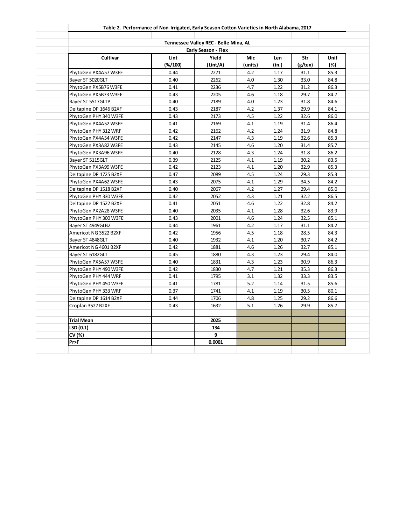|                        | Table 2. Performance of Non-Irrigated, Early Season Cotton Varieties in North Alabama, 2017 |                                       |         |       |         |      |
|------------------------|---------------------------------------------------------------------------------------------|---------------------------------------|---------|-------|---------|------|
|                        |                                                                                             | Tennessee Valley REC - Belle Mina, AL |         |       |         |      |
|                        |                                                                                             | Early Season - Flex                   |         |       |         |      |
| Cultivar               | Lint                                                                                        | Yield                                 | Mic     | Len   | Str     | Unif |
|                        | $(*/100)$                                                                                   | (Lint/A)                              | (units) | (in.) | (g/tex) | (%)  |
| PhytoGen PX4A57 W3FE   | 0.44                                                                                        | 2271                                  | 4.2     | 1.17  | 31.1    | 85.3 |
| Bayer ST 5020GLT       | 0.40                                                                                        | 2262                                  | 4.0     | 1.30  | 33.0    | 84.8 |
| PhytoGen PX5B76 W3FE   | 0.41                                                                                        | 2236                                  | 4.7     | 1.22  | 31.2    | 86.3 |
| PhytoGen PX5B73 W3FE   | 0.43                                                                                        | 2205                                  | 4.6     | 1.18  | 29.7    | 84.7 |
| Bayer ST 5517GLTP      | 0.40                                                                                        | 2189                                  | 4.0     | 1.23  | 31.8    | 84.6 |
| Deltapine DP 1646 B2XF | 0.43                                                                                        | 2187                                  | 4.2     | 1.37  | 29.9    | 84.1 |
| PhytoGen PHY 340 W3FE  | 0.43                                                                                        | 2173                                  | 4.5     | 1.22  | 32.6    | 86.0 |
| PhytoGen PX4A52 W3FE   | 0.41                                                                                        | 2169                                  | 4.1     | 1.19  | 31.4    | 86.4 |
| PhytoGen PHY 312 WRF   | 0.42                                                                                        | 2162                                  | 4.2     | 1.24  | 31.9    | 84.8 |
| PhytoGen PX4A54 W3FE   | 0.42                                                                                        | 2147                                  | 4.3     | 1.19  | 32.6    | 85.3 |
| PhytoGen PX3A82 W3FE   | 0.43                                                                                        | 2145                                  | 4.6     | 1.20  | 31.4    | 85.7 |
| PhytoGen PX3A96 W3FE   | 0.40                                                                                        | 2128                                  | 4.3     | 1.24  | 31.8    | 86.2 |
| Bayer ST 5115GLT       | 0.39                                                                                        | 2125                                  | 4.1     | 1.19  | 30.2    | 83.5 |
| PhytoGen PX3A99 W3FE   | 0.42                                                                                        | 2123                                  | 4.1     | 1.20  | 32.9    | 85.3 |
| Deltapine DP 1725 B2XF | 0.47                                                                                        | 2089                                  | 4.5     | 1.24  | 29.3    | 85.3 |
| PhytoGen PX4A62 W3FE   | 0.43                                                                                        | 2075                                  | 4.1     | 1.29  | 34.5    | 84.2 |
| Deltapine DP 1518 B2XF | 0.40                                                                                        | 2067                                  | 4.2     | 1.27  | 29.4    | 85.0 |
| PhytoGen PHY 330 W3FE  | 0.42                                                                                        | 2052                                  | 4.3     | 1.21  | 32.2    | 86.5 |
| Deltapine DP 1522 B2XF | 0.41                                                                                        | 2051                                  | 4.6     | 1.22  | 32.8    | 84.2 |
| PhytoGen PX2A28 W3FE   | 0.40                                                                                        | 2035                                  | 4.1     | 1.28  | 32.6    | 83.9 |
| PhytoGen PHY 300 W3FE  | 0.43                                                                                        | 2001                                  | 4.6     | 1.24  | 32.5    | 85.1 |
| Bayer ST 4949GLB2      | 0.44                                                                                        | 1961                                  | 4.2     | 1.17  | 31.1    | 84.2 |
| Americot NG 3522 B2XF  | 0.42                                                                                        | 1956                                  | 4.5     | 1.18  | 28.5    | 84.3 |
| Bayer ST 4848GLT       | 0.40                                                                                        | 1932                                  | 4.1     | 1.20  | 30.7    | 84.2 |
| Americot NG 4601 B2XF  | 0.42                                                                                        | 1881                                  | 4.6     | 1.26  | 32.7    | 85.1 |
| Bayer ST 6182GLT       | 0.45                                                                                        | 1880                                  | 4.3     | 1.23  | 29.4    | 84.0 |
| PhytoGen PX5A57 W3FE   | 0.40                                                                                        | 1831                                  | 4.3     | 1.23  | 30.9    | 86.3 |
| PhytoGen PHY 490 W3FE  | 0.42                                                                                        | 1830                                  | 4.7     | 1.21  | 35.3    | 86.3 |
| PhytoGen PHY 444 WRF   | 0.41                                                                                        | 1795                                  | 3.1     | 1.32  | 33.3    | 83.5 |
| PhytoGen PHY 450 W3FE  | 0.41                                                                                        | 1781                                  | 5.2     | 1.14  | 31.5    | 85.6 |
| PhytoGen PHY 333 WRF   | 0.37                                                                                        | 1741                                  | 4.1     | 1.19  | 30.5    | 80.1 |
| Deltapine DP 1614 B2XF | 0.44                                                                                        | 1706                                  | 4.8     | 1.25  | 29.2    | 86.6 |
| Croplan 3527 B2XF      | 0.43                                                                                        | 1632                                  | 5.1     | 1.26  | 29.9    | 85.7 |
| <b>Trial Mean</b>      |                                                                                             | 2025                                  |         |       |         |      |
| LSD(0.1)               |                                                                                             | 134                                   |         |       |         |      |
| CV (%)                 |                                                                                             | 9                                     |         |       |         |      |
| Pr>F                   |                                                                                             | 0.0001                                |         |       |         |      |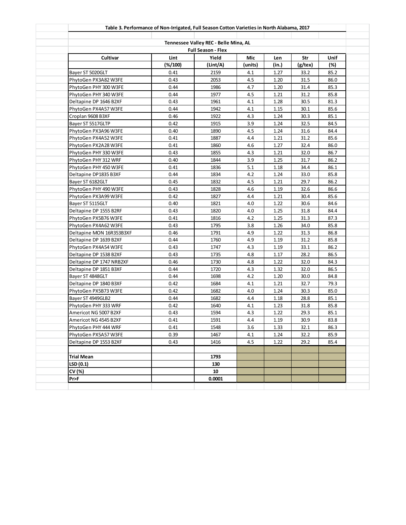|                          | Table 3. Performance of Non-Irrigated, Full Season Cotton Varieties in North Alabama, 2017 |                                       |         |       |         |      |
|--------------------------|--------------------------------------------------------------------------------------------|---------------------------------------|---------|-------|---------|------|
|                          |                                                                                            | Tennessee Valley REC - Belle Mina, AL |         |       |         |      |
|                          |                                                                                            | <b>Full Season - Flex</b>             |         |       |         |      |
| Cultivar                 | Lint                                                                                       | Yield                                 | Mic     | Len   | Str     | Unif |
|                          | $(\frac{2}{100})$                                                                          | (Lint/A)                              | (units) | (in.) | (g/tex) | (%)  |
| Bayer ST 5020GLT         | 0.41                                                                                       | 2159                                  | 4.1     | 1.27  | 33.2    | 85.2 |
| PhytoGen PX3A82 W3FE     | 0.43                                                                                       | 2053                                  | 4.5     | 1.20  | 31.5    | 86.0 |
| PhytoGen PHY 300 W3FE    | 0.44                                                                                       | 1986                                  | 4.7     | 1.20  | 31.4    | 85.3 |
| PhytoGen PHY 340 W3FE    | 0.44                                                                                       | 1977                                  | 4.5     | 1.21  | 31.2    | 85.8 |
| Deltapine DP 1646 B2XF   | 0.43                                                                                       | 1961                                  | 4.1     | 1.28  | 30.5    | 81.3 |
| PhytoGen PX4A57 W3FE     | 0.44                                                                                       | 1942                                  | 4.1     | 1.15  | 30.1    | 85.6 |
| Croplan 9608 B3XF        | 0.46                                                                                       | 1922                                  | 4.3     | 1.24  | 30.3    | 85.1 |
| Bayer ST 5517GLTP        | 0.42                                                                                       | 1915                                  | 3.9     | 1.24  | 32.5    | 84.5 |
| PhytoGen PX3A96 W3FE     | 0.40                                                                                       | 1890                                  | 4.5     | 1.24  | 31.6    | 84.4 |
| PhytoGen PX4A52 W3FE     | 0.41                                                                                       | 1887                                  | 4.4     | 1.21  | 31.2    | 85.6 |
| PhytoGen PX2A28 W3FE     | 0.41                                                                                       | 1860                                  | 4.6     | 1.27  | 32.4    | 86.0 |
| PhytoGen PHY 330 W3FE    | 0.43                                                                                       | 1855                                  | 4.3     | 1.21  | 32.0    | 86.7 |
| PhytoGen PHY 312 WRF     | 0.40                                                                                       | 1844                                  | 3.9     | 1.25  | 31.7    | 86.2 |
| PhytoGen PHY 450 W3FE    | 0.41                                                                                       | 1836                                  | 5.1     | 1.18  | 34.4    | 86.1 |
| Deltapine DP1835 B3XF    | 0.44                                                                                       | 1834                                  | 4.2     | 1.24  | 33.0    | 85.8 |
| Bayer ST 6182GLT         | 0.45                                                                                       | 1832                                  | 4.5     | 1.21  | 29.7    | 86.2 |
| PhytoGen PHY 490 W3FE    | 0.43                                                                                       | 1828                                  | 4.6     | 1.19  | 32.6    | 86.6 |
| PhytoGen PX3A99 W3FE     | 0.42                                                                                       | 1827                                  | 4.4     | 1.21  | 30.4    | 85.6 |
| Bayer ST 5115GLT         | 0.40                                                                                       | 1821                                  | 4.0     | 1.22  | 30.6    | 84.6 |
| Deltapine DP 1555 B2RF   | 0.43                                                                                       | 1820                                  | 4.0     | 1.25  | 31.8    | 84.4 |
| PhytoGen PX5B76 W3FE     | 0.41                                                                                       | 1816                                  | 4.2     | 1.25  | 31.3    | 87.3 |
| PhytoGen PX4A62 W3FE     | 0.43                                                                                       | 1795                                  | 3.8     | 1.26  | 34.0    | 85.8 |
| Deltapine MON 16R353B3XF | 0.46                                                                                       | 1791                                  | 4.9     | 1.22  | 31.3    | 86.8 |
| Deltapine DP 1639 B2XF   | 0.44                                                                                       | 1760                                  | 4.9     | 1.19  | 31.2    | 85.8 |
| PhytoGen PX4A54 W3FE     | 0.43                                                                                       | 1747                                  | 4.3     | 1.19  | 33.1    | 86.2 |
| Deltapine DP 1538 B2XF   | 0.43                                                                                       | 1735                                  | 4.8     | 1.17  | 28.2    | 86.5 |
| Deltapine DP 1747 NRB2XF | 0.46                                                                                       | 1730                                  | 4.8     | 1.22  | 32.0    | 84.3 |
| Deltapine DP 1851 B3XF   | 0.44                                                                                       | 1720                                  | 4.3     | 1.32  | 32.0    | 86.5 |
| Bayer ST 4848GLT         | 0.44                                                                                       | 1698                                  | 4.2     | 1.20  | 30.0    | 84.8 |
| Deltapine DP 1840 B3XF   | 0.42                                                                                       | 1684                                  | 4.1     | 1.21  | 32.7    | 79.3 |
| PhytoGen PX5B73 W3FE     | 0.42                                                                                       | 1682                                  | 4.0     | 1.24  | 30.3    | 85.0 |
| Bayer ST 4949GLB2        | 0.44                                                                                       | 1682                                  | 4.4     | 1.18  | 28.8    | 85.1 |
| PhytoGen PHY 333 WRF     | 0.42                                                                                       | 1640                                  | 4.1     | 1.23  | 31.8    | 85.8 |
| Americot NG 5007 B2XF    | 0.43                                                                                       | 1594                                  | 4.3     | 1.22  | 29.3    | 85.1 |
| Americot NG 4545 B2XF    | 0.41                                                                                       | 1591                                  | 4.4     | 1.19  | 30.9    | 83.8 |
| PhytoGen PHY 444 WRF     | 0.41                                                                                       | 1548                                  | 3.6     | 1.33  | 32.1    | 86.3 |
| PhytoGen PX5A57 W3FE     | 0.39                                                                                       | 1467                                  | 4.1     | 1.24  | 32.2    | 85.9 |
| Deltapine DP 1553 B2XF   | 0.43                                                                                       | 1416                                  | 4.5     | 1.22  | 29.2    | 85.4 |
|                          |                                                                                            |                                       |         |       |         |      |
| Trial Mean               |                                                                                            | 1793                                  |         |       |         |      |
| LSD (0.1)                |                                                                                            | 130                                   |         |       |         |      |
| CV (%)                   |                                                                                            | 10                                    |         |       |         |      |
| Pr>F                     |                                                                                            | 0.0001                                |         |       |         |      |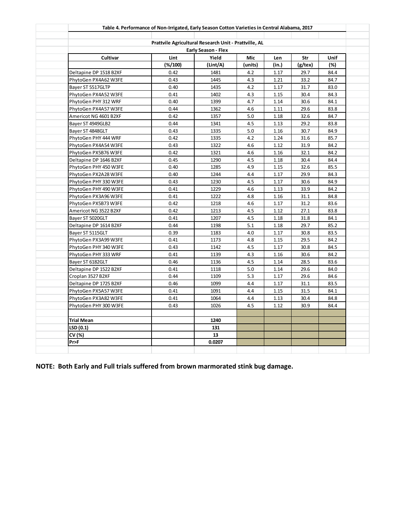|                        | Table 4. Performance of Non-Irrigated, Early Season Cotton Varieties in Central Alabama, 2017 |                            |         |       |         |      |
|------------------------|-----------------------------------------------------------------------------------------------|----------------------------|---------|-------|---------|------|
|                        | Prattvile Agricultural Research Unit - Prattville, AL                                         |                            |         |       |         |      |
|                        |                                                                                               | <b>Early Season - Flex</b> |         |       |         |      |
| Cultivar               | Lint                                                                                          | Yield                      | Mic     | Len   | Str     | Unif |
|                        | $(\frac{2}{100})$                                                                             | (Lint/A)                   | (units) | (in.) | (g/tex) | (%)  |
| Deltapine DP 1518 B2XF | 0.42                                                                                          | 1481                       | 4.2     | 1.17  | 29.7    | 84.4 |
| PhytoGen PX4A62 W3FE   | 0.43                                                                                          | 1445                       | 4.3     | 1.21  | 33.2    | 84.7 |
| Bayer ST 5517GLTP      | 0.40                                                                                          | 1435                       | 4.2     | 1.17  | 31.7    | 83.0 |
| PhytoGen PX4A52 W3FE   | 0.41                                                                                          | 1402                       | 4.3     | 1.15  | 30.4    | 84.3 |
| PhytoGen PHY 312 WRF   | 0.40                                                                                          | 1399                       | 4.7     | 1.14  | 30.6    | 84.1 |
| PhytoGen PX4A57 W3FE   | 0.44                                                                                          | 1362                       | 4.6     | 1.11  | 29.6    | 83.8 |
| Americot NG 4601 B2XF  | 0.42                                                                                          | 1357                       | 5.0     | 1.18  | 32.6    | 84.7 |
| Bayer ST 4949GLB2      | 0.44                                                                                          | 1341                       | 4.5     | 1.13  | 29.2    | 83.8 |
| Bayer ST 4848GLT       | 0.43                                                                                          | 1335                       | 5.0     | 1.16  | 30.7    | 84.9 |
| PhytoGen PHY 444 WRF   | 0.42                                                                                          | 1335                       | 4.2     | 1.24  | 31.6    | 85.7 |
| PhytoGen PX4A54 W3FE   | 0.43                                                                                          | 1322                       | 4.6     | 1.12  | 31.9    | 84.2 |
| PhytoGen PX5B76 W3FE   | 0.42                                                                                          | 1321                       | 4.6     | 1.16  | 32.1    | 84.2 |
| Deltapine DP 1646 B2XF | 0.45                                                                                          | 1290                       | 4.5     | 1.18  | 30.4    | 84.4 |
| PhytoGen PHY 450 W3FE  | 0.40                                                                                          | 1285                       | 4.9     | 1.15  | 32.6    | 85.5 |
| PhytoGen PX2A28 W3FE   | 0.40                                                                                          | 1244                       | 4.4     | 1.17  | 29.9    | 84.3 |
| PhytoGen PHY 330 W3FE  | 0.43                                                                                          | 1230                       | 4.5     | 1.17  | 30.6    | 84.9 |
| PhytoGen PHY 490 W3FE  | 0.41                                                                                          | 1229                       | 4.6     | 1.13  | 33.9    | 84.2 |
| PhytoGen PX3A96 W3FE   | 0.41                                                                                          | 1222                       | 4.8     | 1.16  | 31.1    | 84.8 |
| PhytoGen PX5B73 W3FE   | 0.42                                                                                          | 1218                       | 4.6     | 1.17  | 31.2    | 83.6 |
| Americot NG 3522 B2XF  | 0.42                                                                                          | 1213                       | 4.5     | 1.12  | 27.1    | 83.8 |
| Bayer ST 5020GLT       | 0.41                                                                                          | 1207                       | 4.5     | 1.18  | 31.8    | 84.1 |
| Deltapine DP 1614 B2XF | 0.44                                                                                          | 1198                       | 5.1     | 1.18  | 29.7    | 85.2 |
| Bayer ST 5115GLT       | 0.39                                                                                          | 1183                       | 4.0     | 1.17  | 30.8    | 83.5 |
| PhytoGen PX3A99 W3FE   | 0.41                                                                                          | 1173                       | 4.8     | 1.15  | 29.5    | 84.2 |
| PhytoGen PHY 340 W3FE  | 0.43                                                                                          | 1142                       | 4.5     | 1.17  | 30.8    | 84.5 |
| PhytoGen PHY 333 WRF   | 0.41                                                                                          | 1139                       | 4.3     | 1.16  | 30.6    | 84.2 |
| Bayer ST 6182GLT       | 0.46                                                                                          | 1136                       | 4.5     | 1.14  | 28.5    | 83.6 |
| Deltapine DP 1522 B2XF | 0.41                                                                                          | 1118                       | 5.0     | 1.14  | 29.6    | 84.0 |
| Croplan 3527 B2XF      | 0.44                                                                                          | 1109                       | 5.3     | 1.17  | 29.6    | 84.6 |
| Deltapine DP 1725 B2XF | 0.46                                                                                          | 1099                       | 4.4     | 1.17  | 31.1    | 83.5 |
| PhytoGen PX5A57 W3FE   | 0.41                                                                                          | 1091                       | 4.4     | 1.15  | 31.5    | 84.1 |
| PhytoGen PX3A82 W3FE   | 0.41                                                                                          | 1064                       | 4.4     | 1.13  | 30.4    | 84.8 |
| PhytoGen PHY 300 W3FE  | 0.43                                                                                          | 1026                       | 4.5     | 1.12  | 30.9    | 84.4 |
| Trial Mean             |                                                                                               | 1240                       |         |       |         |      |
| LSD (0.1)              |                                                                                               | 131                        |         |       |         |      |
| CV (%)                 |                                                                                               | 13                         |         |       |         |      |
| Pr>F                   |                                                                                               | 0.0207                     |         |       |         |      |

**NOTE: Both Early and Full trials suffered from brown marmorated stink bug damage.**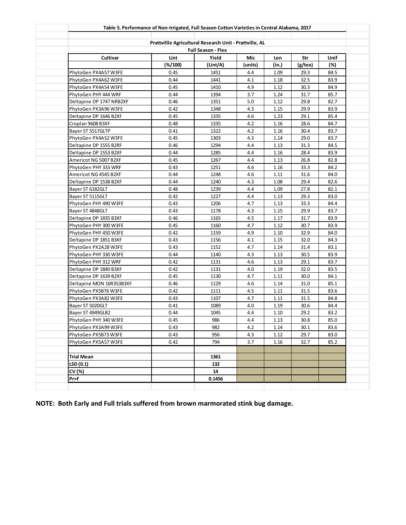|                          | Table 5. Performance of Non-Irrigated, Full Season Cotton Varieties in Central Alabama, 2017 |                           |         |          |          |        |
|--------------------------|----------------------------------------------------------------------------------------------|---------------------------|---------|----------|----------|--------|
|                          |                                                                                              |                           |         |          |          |        |
|                          | Prattvillle Agricultural Research Unit - Prattville, AL                                      | <b>Full Season - Flex</b> |         |          |          |        |
| Cultivar                 | Lint                                                                                         | Yield                     | Mic     | Len      | Str      | Unif   |
|                          | $(%$ (%/100)                                                                                 | (Lint/A)                  | (units) | (in.)    | (g/tex)  | $(\%)$ |
| PhytoGen PX4A57 W3FE     | 0.45                                                                                         | 1451                      | 4.4     | 1.09     | 29.3     | 84.5   |
| PhytoGen PX4A62 W3FE     | 0.44                                                                                         | 1441                      | 4.1     | 1.18     | 32.5     | 83.9   |
| PhytoGen PX4A54 W3FE     | 0.45                                                                                         | 1410                      | 4.9     | 1.12     | 30.3     | 84.9   |
| PhytoGen PHY 444 WRF     | 0.44                                                                                         | 1394                      | 3.7     | 1.24     | 31.7     | 85.7   |
| Deltapine DP 1747 NRB2XF | 0.46                                                                                         | 1351                      | 5.0     | 1.12     | 29.8     | 82.7   |
| PhytoGen PX3A96 W3FE     | 0.42                                                                                         | 1348                      | 4.3     | 1.15     | 29.9     | 83.9   |
| Deltapine DP 1646 B2XF   | 0.45                                                                                         | 1335                      | 4.6     | 1.23     | 29.1     | 85.4   |
| Croplan 9608 B3XF        | 0.48                                                                                         | 1335                      | 4.2     | 1.16     | 28.6     | 84.7   |
| Bayer ST 5517GLTP        | 0.41                                                                                         | 1322                      | 4.2     | 1.16     | 30.4     | 83.7   |
| PhytoGen PX4A52 W3FE     | 0.45                                                                                         | 1303                      | 4.3     | 1.14     | 29.0     | 83.7   |
| Deltapine DP 1555 B2RF   | 0.46                                                                                         | 1294                      | 4.4     | 1.13     | 31.3     | 84.5   |
| Deltapine DP 1553 B2XF   | 0.44                                                                                         | 1285                      | 4.4     | 1.16     | 28.4     | 83.9   |
| Americot NG 5007 B2XF    | 0.45                                                                                         | 1267                      | 4.4     | 1.13     | 26.8     | 82.8   |
| PhytoGen PHY 333 WRF     | 0.43                                                                                         | 1251                      | 4.6     | 1.16     | 33.3     | 84.2   |
| Americot NG 4545 B2XF    | 0.44                                                                                         | 1248                      | 4.6     | 1.11     | 31.6     | 84.0   |
| Deltapine DP 1538 B2XF   | 0.44                                                                                         | 1240                      | 4.3     | 1.08     | 29.4     | 82.6   |
| Bayer ST 6182GLT         | 0.48                                                                                         | 1239                      | 4.4     | 1.09     | 27.8     | 82.1   |
| Bayer ST 5115GLT         | 0.42                                                                                         | 1227                      | 4.4     | 1.13     | 29.3     | 83.0   |
| PhytoGen PHY 490 W3FE    | 0.43                                                                                         | 1206                      | 4.7     | 1.13     | 33.3     | 84.4   |
| Bayer ST 4848GLT         | 0.43                                                                                         | 1178                      | 4.3     | 1.15     | 29.9     | 83.7   |
| Deltapine DP 1835 B3XF   | 0.46                                                                                         | 1165                      | 4.5     | 1.17     | 31.7     | 83.9   |
| PhytoGen PHY 300 W3FE    | 0.45                                                                                         | 1160                      | 4.7     | 1.12     | 30.7     | 83.9   |
| PhytoGen PHY 450 W3FE    | 0.42                                                                                         | 1159                      | 4.9     | 1.10     | 32.9     | 84.0   |
| Deltapine DP 1851 B3XF   | 0.43                                                                                         | 1156                      | 4.1     | 1.15     | 32.0     | 84.3   |
| PhytoGen PX2A28 W3FE     | 0.43                                                                                         | 1152                      | 4.7     | 1.14     | 31.4     | 83.1   |
| PhytoGen PHY 330 W3FE    | 0.44                                                                                         | 1140                      | 4.3     | 1.13     | 30.5     | 83.9   |
| PhytoGen PHY 312 WRF     | 0.42                                                                                         | 1131                      | 4.6     | 1.13     | 29.1     | 83.7   |
| Deltapine DP 1840 B3XF   | 0.42                                                                                         | 1131                      | 4.0     | 1.19     | 32.0     | 83.5   |
| Deltapine DP 1639 B2XF   | 0.45                                                                                         | 1130                      | 4.7     | 1.11     | 30.0     | 84.1   |
| Deltapine MON 16R353B3XF | 0.46                                                                                         | 1129                      | 4.6     | 1.14     | 31.0     | 85.1   |
| PhytoGen PX5B76 W3FE     | 0.42                                                                                         | 1111                      | 4.5     | 1.11     | 31.5     | 83.6   |
| PhytoGen PX3A82 W3FE     | 0.43                                                                                         | 1107                      | 4.7     | 1.11     | 31.5     | 84.8   |
| Bayer ST 5020GLT         | 0.41                                                                                         | 1089                      | 4.0     | 1.19     | 30.6     | 84.4   |
| Bayer ST 4949GLB2        | 0.44                                                                                         | 1045                      | 4.4     | 1.10     | 29.2     | 83.2   |
| PhytoGen PHY 340 W3FE    | 0.45                                                                                         | 986                       | 4.4     | $1.13\,$ | $30.8\,$ | 85.0   |
| PhytoGen PX3A99 W3FE     | 0.43                                                                                         | 982                       | 4.2     | 1.14     | 30.1     | 83.6   |
| PhytoGen PX5B73 W3FE     | 0.43                                                                                         | 956                       | 4.3     | 1.12     | 29.7     | 83.0   |
| PhytoGen PX5A57 W3FE     | 0.42                                                                                         | 794                       | 3.7     | 1.16     | 32.7     | 85.2   |
|                          |                                                                                              |                           |         |          |          |        |
| <b>Trial Mean</b>        |                                                                                              | 1361                      |         |          |          |        |
| LSD (0.1)                |                                                                                              | 132                       |         |          |          |        |
| CV (%)                   |                                                                                              | 14                        |         |          |          |        |
| Pr>F                     |                                                                                              | 0.1456                    |         |          |          |        |

**NOTE: Both Early and Full trials suffered from brown marmorated stink bug damage.**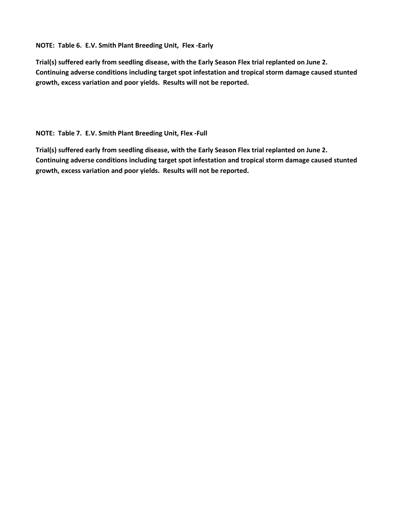**NOTE: Table 6. E.V. Smith Plant Breeding Unit, Flex -Early**

**Trial(s) suffered early from seedling disease, with the Early Season Flex trial replanted on June 2. Continuing adverse conditions including target spot infestation and tropical storm damage caused stunted growth, excess variation and poor yields. Results will not be reported.**

**NOTE: Table 7. E.V. Smith Plant Breeding Unit, Flex -Full**

**Trial(s) suffered early from seedling disease, with the Early Season Flex trial replanted on June 2. Continuing adverse conditions including target spot infestation and tropical storm damage caused stunted growth, excess variation and poor yields. Results will not be reported.**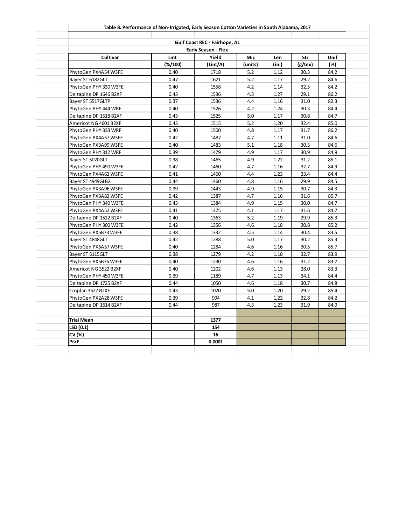|                        | Table 8. Performance of Non-Irrigated, Early Season Cotton Varieties in South Alabama, 2017 |                               |         |       |         |      |  |  |  |
|------------------------|---------------------------------------------------------------------------------------------|-------------------------------|---------|-------|---------|------|--|--|--|
|                        |                                                                                             | Gulf Coast REC - Fairhope, AL |         |       |         |      |  |  |  |
|                        |                                                                                             | Early Season - Flex           |         |       |         |      |  |  |  |
| Cultivar               | Lint<br>Yield<br>Mic<br><b>Unif</b><br>Len<br>Str                                           |                               |         |       |         |      |  |  |  |
|                        | (%/100)                                                                                     | (Lint/A)                      | (units) | (in.) | (g/tex) | (%)  |  |  |  |
| PhytoGen PX4A54 W3FE   | 0.40                                                                                        | 1718                          | 5.2     | 1.12  | 30.3    | 84.2 |  |  |  |
| Bayer ST 6182GLT       | 0.47                                                                                        | 1621                          | 5.2     | 1.17  | 29.2    | 84.6 |  |  |  |
| PhytoGen PHY 330 W3FE  | 0.40                                                                                        | 1558                          | 4.2     | 1.14  | 32.5    | 84.2 |  |  |  |
| Deltapine DP 1646 B2XF | 0.43                                                                                        | 1536                          | 4.3     | 1.27  | 29.1    | 86.2 |  |  |  |
| Bayer ST 5517GLTP      | 0.37                                                                                        | 1536                          | 4.4     | 1.16  | 31.0    | 82.3 |  |  |  |
| PhytoGen PHY 444 WRF   | 0.40                                                                                        | 1526                          | 4.2     | 1.24  | 30.3    | 84.4 |  |  |  |
| Deltapine DP 1518 B2XF | 0.43                                                                                        | 1525                          | 5.0     | 1.17  | 30.8    | 84.7 |  |  |  |
| Americot NG 4601 B2XF  | 0.43                                                                                        | 1515                          | 5.2     | 1.20  | 32.4    | 85.0 |  |  |  |
| PhytoGen PHY 333 WRF   | 0.40                                                                                        | 1500                          | 4.8     | 1.17  | 31.7    | 86.2 |  |  |  |
| PhytoGen PX4A57 W3FE   | 0.42                                                                                        | 1487                          | 4.7     | 1.11  | 31.0    | 84.6 |  |  |  |
| PhytoGen PX3A99 W3FE   | 0.40                                                                                        | 1483                          | 5.1     | 1.18  | 30.5    | 84.6 |  |  |  |
| PhytoGen PHY 312 WRF   | 0.39                                                                                        | 1479                          | 4.9     | 1.17  | 30.9    | 84.9 |  |  |  |
| Bayer ST 5020GLT       | 0.38                                                                                        | 1465                          | 4.9     | 1.22  | 31.2    | 85.1 |  |  |  |
| PhytoGen PHY 490 W3FE  | 0.42                                                                                        | 1460                          | 4.7     | 1.16  | 32.7    | 84.9 |  |  |  |
| PhytoGen PX4A62 W3FE   | 0.41                                                                                        | 1460                          | 4.4     | 1.23  | 33.4    | 84.4 |  |  |  |
| Bayer ST 4949GLB2      | 0.44                                                                                        | 1460                          | 4.8     | 1.16  | 29.9    | 84.5 |  |  |  |
| PhytoGen PX3A96 W3FE   | 0.39                                                                                        | 1443                          | 4.9     | 1.15  | 30.7    | 84.3 |  |  |  |
| PhytoGen PX3A82 W3FE   | 0.42                                                                                        | 1387                          | 4.7     | 1.16  | 31.6    | 85.7 |  |  |  |
| PhytoGen PHY 340 W3FE  | 0.43                                                                                        | 1384                          | 4.9     | 1.15  | 30.0    | 84.7 |  |  |  |
| PhytoGen PX4A52 W3FE   | 0.41                                                                                        | 1375                          | 4.1     | 1.17  | 31.6    | 84.7 |  |  |  |
| Deltapine DP 1522 B2XF | 0.40                                                                                        | 1363                          | 5.2     | 1.19  | 29.9    | 85.3 |  |  |  |
| PhytoGen PHY 300 W3FE  | 0.42                                                                                        | 1356                          | 4.6     | 1.18  | 30.8    | 85.2 |  |  |  |
| PhytoGen PX5B73 W3FE   | 0.38                                                                                        | 1332                          | 4.5     | 1.14  | 30.4    | 83.5 |  |  |  |
| Bayer ST 4848GLT       | 0.42                                                                                        | 1288                          | 5.0     | 1.17  | 30.2    | 85.3 |  |  |  |
| PhytoGen PX5A57 W3FE   | 0.40                                                                                        | 1284                          | 4.6     | 1.16  | 30.5    | 85.7 |  |  |  |
| Bayer ST 5115GLT       | 0.38                                                                                        | 1279                          | 4.2     | 1.18  | 32.7    | 83.9 |  |  |  |
| PhytoGen PX5B76 W3FE   | 0.40                                                                                        | 1230                          | 4.6     | 1.16  | 31.2    | 83.7 |  |  |  |
| Americot NG 3522 B2XF  | 0.40                                                                                        | 1202                          | 4.6     | 1.13  | 28.0    | 83.3 |  |  |  |
| PhytoGen PHY 450 W3FE  | 0.39                                                                                        | 1189                          | 4.7     | 1.13  | 34.1    | 84.4 |  |  |  |
| Deltapine DP 1725 B2XF | 0.44                                                                                        | 1050                          | 4.6     | 1.18  | 30.7    | 84.8 |  |  |  |
| Croplan 3527 B2XF      | 0.43                                                                                        | 1020                          | 5.0     | 1.20  | 29.2    | 85.4 |  |  |  |
| PhytoGen PX2A28 W3FE   | 0.39                                                                                        | 994                           | 4.1     | 1.22  | 32.8    | 84.2 |  |  |  |
| Deltapine DP 1614 B2XF | 0.44                                                                                        | 987                           | 4.3     | 1.23  | 31.9    | 84.9 |  |  |  |
| <b>Trial Mean</b>      |                                                                                             | 1377                          |         |       |         |      |  |  |  |
| LSD(0.1)               |                                                                                             | 154                           |         |       |         |      |  |  |  |
| CV (%)                 |                                                                                             | 16                            |         |       |         |      |  |  |  |
| Pr>F                   |                                                                                             | 0.0001                        |         |       |         |      |  |  |  |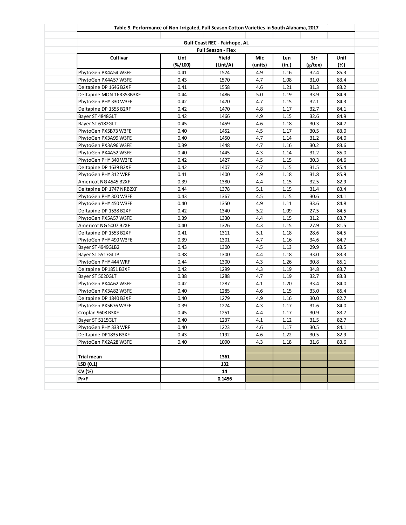|                          | Table 9. Performance of Non-Irrigated, Full Season Cotton Varieties in South Alabama, 2017 |                                                            |         |       |         |      |
|--------------------------|--------------------------------------------------------------------------------------------|------------------------------------------------------------|---------|-------|---------|------|
|                          |                                                                                            |                                                            |         |       |         |      |
|                          |                                                                                            | Gulf Coast REC - Fairhope, AL<br><b>Full Season - Flex</b> |         |       |         |      |
| Cultivar                 | Lint                                                                                       | Yield                                                      | Mic     | Len   | Str     | Unif |
|                          | $(\frac{4}{100})$                                                                          | (Lint/A)                                                   | (units) | (in.) | (g/tex) | (%)  |
| PhytoGen PX4A54 W3FE     | 0.41                                                                                       | 1574                                                       | 4.9     | 1.16  | 32.4    | 85.3 |
| PhytoGen PX4A57 W3FE     | 0.43                                                                                       | 1570                                                       | 4.7     | 1.08  | 31.0    | 83.4 |
| Deltapine DP 1646 B2XF   | 0.41                                                                                       | 1558                                                       | 4.6     | 1.21  | 31.3    | 83.2 |
| Deltapine MON 16R353B3XF | 0.44                                                                                       | 1486                                                       | 5.0     | 1.19  | 33.9    | 84.9 |
| PhytoGen PHY 330 W3FE    | 0.42                                                                                       | 1470                                                       | 4.7     | 1.15  | 32.1    | 84.3 |
| Deltapine DP 1555 B2RF   | 0.42                                                                                       | 1470                                                       | 4.8     | 1.17  | 32.7    | 84.1 |
| Bayer ST 4848GLT         | 0.42                                                                                       | 1466                                                       | 4.9     | 1.15  | 32.6    | 84.9 |
| Bayer ST 6182GLT         | 0.45                                                                                       | 1459                                                       | 4.6     | 1.18  | 30.3    | 84.7 |
| PhytoGen PX5B73 W3FE     | 0.40                                                                                       | 1452                                                       | 4.5     | 1.17  | 30.5    | 83.0 |
| PhytoGen PX3A99 W3FE     | 0.40                                                                                       | 1450                                                       | 4.7     | 1.14  | 31.2    | 84.0 |
| PhytoGen PX3A96 W3FE     | 0.39                                                                                       | 1448                                                       | 4.7     | 1.16  | 30.2    | 83.6 |
| PhytoGen PX4A52 W3FE     | 0.40                                                                                       | 1445                                                       | 4.3     | 1.14  | 31.2    | 85.0 |
| PhytoGen PHY 340 W3FE    | 0.42                                                                                       | 1427                                                       | 4.5     | 1.15  | 30.3    | 84.6 |
| Deltapine DP 1639 B2XF   | 0.42                                                                                       | 1407                                                       | 4.7     | 1.15  | 31.5    | 85.4 |
| PhytoGen PHY 312 WRF     | 0.41                                                                                       | 1400                                                       | 4.9     | 1.18  | 31.8    | 85.9 |
| Americot NG 4545 B2XF    | 0.39                                                                                       | 1380                                                       | 4.4     | 1.15  | 32.5    | 82.9 |
| Deltapine DP 1747 NRB2XF | 0.44                                                                                       | 1378                                                       | 5.1     | 1.15  | 31.4    | 83.4 |
| PhytoGen PHY 300 W3FE    | 0.43                                                                                       | 1367                                                       | 4.5     | 1.15  | 30.6    | 84.1 |
| PhytoGen PHY 450 W3FE    | 0.40                                                                                       | 1350                                                       | 4.9     | 1.11  | 33.6    | 84.8 |
| Deltapine DP 1538 B2XF   | 0.42                                                                                       | 1340                                                       | 5.2     | 1.09  | 27.5    | 84.5 |
| PhytoGen PX5A57 W3FE     | 0.39                                                                                       | 1330                                                       | 4.4     | 1.15  | 31.2    | 83.7 |
| Americot NG 5007 B2XF    | 0.40                                                                                       | 1326                                                       | 4.3     | 1.15  | 27.9    | 81.5 |
| Deltapine DP 1553 B2XF   | 0.41                                                                                       | 1311                                                       | 5.1     | 1.18  | 28.6    | 84.5 |
| PhytoGen PHY 490 W3FE    | 0.39                                                                                       | 1301                                                       | 4.7     | 1.16  | 34.6    | 84.7 |
| Bayer ST 4949GLB2        | 0.43                                                                                       | 1300                                                       | 4.5     | 1.13  | 29.9    | 83.5 |
| Bayer ST 5517GLTP        | 0.38                                                                                       | 1300                                                       | 4.4     | 1.18  | 33.0    | 83.3 |
| PhytoGen PHY 444 WRF     | 0.44                                                                                       | 1300                                                       | 4.3     | 1.26  | 30.8    | 85.1 |
| Deltapine DP1851 B3XF    | 0.42                                                                                       | 1299                                                       | 4.3     | 1.19  | 34.8    | 83.7 |
| Bayer ST 5020GLT         | 0.38                                                                                       | 1288                                                       | 4.7     | 1.19  | 32.7    | 83.3 |
| PhytoGen PX4A62 W3FE     | 0.42                                                                                       | 1287                                                       | 4.1     | 1.20  | 33.4    | 84.0 |
| PhytoGen PX3A82 W3FE     | 0.40                                                                                       | 1285                                                       | 4.6     | 1.15  | 33.0    | 85.4 |
| Deltapine DP 1840 B3XF   | 0.40                                                                                       | 1279                                                       | 4.9     | 1.16  | 30.0    | 82.7 |
| PhytoGen PX5B76 W3FE     | 0.39                                                                                       | 1274                                                       | 4.3     | 1.17  | 31.6    | 84.0 |
| Croplan 9608 B3XF        | 0.45                                                                                       | 1251                                                       | 4.4     | 1.17  | 30.9    | 83.7 |
| Bayer ST 5115GLT         | 0.40                                                                                       | 1237                                                       | 4.1     | 1.12  | $31.5$  | 82.7 |
| PhytoGen PHY 333 WRF     | 0.40                                                                                       | 1223                                                       | 4.6     | 1.17  | 30.5    | 84.1 |
| Deltapine DP1835 B3XF    | 0.43                                                                                       | 1192                                                       | 4.6     | 1.22  | 30.5    | 82.9 |
| PhytoGen PX2A28 W3FE     | 0.40                                                                                       | 1090                                                       | 4.3     | 1.18  | 31.6    | 83.6 |
|                          |                                                                                            |                                                            |         |       |         |      |
| <b>Trial mean</b>        |                                                                                            | 1361                                                       |         |       |         |      |
| LSD(0.1)                 |                                                                                            | 132                                                        |         |       |         |      |
| CV (%)                   |                                                                                            | 14                                                         |         |       |         |      |
| Pr>F                     |                                                                                            | 0.1456                                                     |         |       |         |      |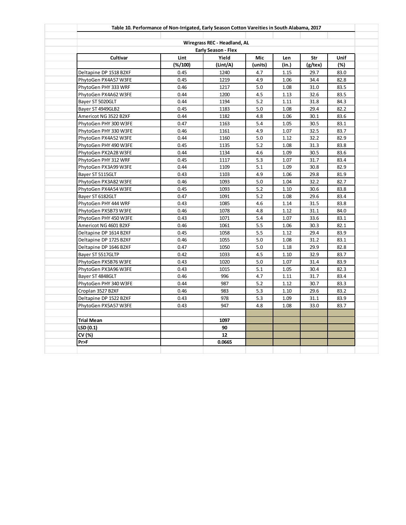|                        |                   | Wiregrass REC - Headland, AL |         |       |            |             |
|------------------------|-------------------|------------------------------|---------|-------|------------|-------------|
|                        |                   | <b>Early Season - Flex</b>   |         |       |            |             |
| Cultivar               | Lint              | Yield                        | Mic     | Len   | Str        | <b>Unif</b> |
|                        | $(\frac{6}{100})$ | (Lint/A)                     | (units) | (in.) | $(g$ /tex) | (%)         |
| Deltapine DP 1518 B2XF | 0.45              | 1240                         | 4.7     | 1.15  | 29.7       | 83.0        |
| PhytoGen PX4A57 W3FE   | 0.45              | 1219                         | 4.9     | 1.06  | 34.4       | 82.8        |
| PhytoGen PHY 333 WRF   | 0.46              | 1217                         | 5.0     | 1.08  | 31.0       | 83.5        |
| PhytoGen PX4A62 W3FE   | 0.44              | 1200                         | 4.5     | 1.13  | 32.6       | 83.5        |
| Bayer ST 5020GLT       | 0.44              | 1194                         | 5.2     | 1.11  | 31.8       | 84.3        |
| Bayer ST 4949GLB2      | 0.45              | 1183                         | 5.0     | 1.08  | 29.4       | 82.2        |
| Americot NG 3522 B2XF  | 0.44              | 1182                         | 4.8     | 1.06  | 30.1       | 83.6        |
| PhytoGen PHY 300 W3FE  | 0.47              | 1163                         | 5.4     | 1.05  | 30.5       | 83.1        |
| PhytoGen PHY 330 W3FE  | 0.46              | 1161                         | 4.9     | 1.07  | 32.5       | 83.7        |
| PhytoGen PX4A52 W3FE   | 0.44              | 1160                         | 5.0     | 1.12  | 32.2       | 82.9        |
| PhytoGen PHY 490 W3FE  | 0.45              | 1135                         | 5.2     | 1.08  | 31.3       | 83.8        |
| PhytoGen PX2A28 W3FE   | 0.44              | 1134                         | 4.6     | 1.09  | 30.5       | 83.6        |
| PhytoGen PHY 312 WRF   | 0.45              | 1117                         | 5.3     | 1.07  | 31.7       | 83.4        |
| PhytoGen PX3A99 W3FE   | 0.44              | 1109                         | 5.1     | 1.09  | 30.8       | 82.9        |
| Bayer ST 5115GLT       | 0.43              | 1103                         | 4.9     | 1.06  | 29.8       | 81.9        |
| PhytoGen PX3A82 W3FE   | 0.46              | 1093                         | 5.0     | 1.04  | 32.2       | 82.7        |
| PhytoGen PX4A54 W3FE   | 0.45              | 1093                         | 5.2     | 1.10  | 30.6       | 83.8        |
| Bayer ST 6182GLT       | 0.47              | 1091                         | 5.2     | 1.08  | 29.6       | 83.4        |
| PhytoGen PHY 444 WRF   | 0.43              | 1085                         | 4.6     | 1.14  | 31.5       | 83.8        |
| PhytoGen PX5B73 W3FE   | 0.46              | 1078                         | 4.8     | 1.12  | 31.1       | 84.0        |
| PhytoGen PHY 450 W3FE  | 0.43              | 1071                         | 5.4     | 1.07  | 33.6       | 83.1        |
| Americot NG 4601 B2XF  | 0.46              | 1061                         | 5.5     | 1.06  | 30.3       | 82.1        |
| Deltapine DP 1614 B2XF | 0.45              | 1058                         | 5.5     | 1.12  | 29.4       | 83.9        |
| Deltapine DP 1725 B2XF | 0.46              | 1055                         | 5.0     | 1.08  | 31.2       | 83.1        |
| Deltapine DP 1646 B2XF | 0.47              | 1050                         | 5.0     | 1.18  | 29.9       | 82.8        |
| Bayer ST 5517GLTP      | 0.42              | 1033                         | 4.5     | 1.10  | 32.9       | 83.7        |
| PhytoGen PX5B76 W3FE   | 0.43              | 1020                         | 5.0     | 1.07  | 31.4       | 83.9        |
| PhytoGen PX3A96 W3FE   | 0.43              | 1015                         | 5.1     | 1.05  | 30.4       | 82.3        |
| Bayer ST 4848GLT       | 0.46              | 996                          | 4.7     | 1.11  | 31.7       | 83.4        |
| PhytoGen PHY 340 W3FE  | 0.44              | 987                          | 5.2     | 1.12  | 30.7       | 83.3        |
| Croplan 3527 B2XF      | 0.46              | 983                          | 5.3     | 1.10  | 29.6       | 83.2        |
| Deltapine DP 1522 B2XF | 0.43              | 978                          | 5.3     | 1.09  | 31.1       | 83.9        |
| PhytoGen PX5A57 W3FE   | 0.43              | 947                          | 4.8     | 1.08  | 33.0       | 83.7        |
|                        |                   |                              |         |       |            |             |
| Trial Mean             |                   | 1097                         |         |       |            |             |
| LSD (0.1)              |                   | 90                           |         |       |            |             |
| CV (%)                 |                   | 12                           |         |       |            |             |
| Pr>F                   |                   | 0.0665                       |         |       |            |             |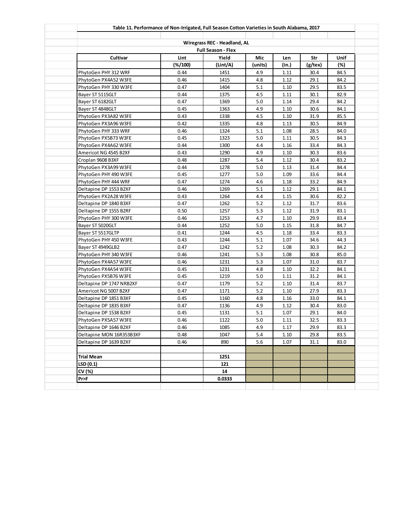|                                                        | Table 11. Performance of Non-Irrigated, Full Season Cotton Varieties in South Alabama, 2017 |                                                           |         |       |         |      |  |  |  |
|--------------------------------------------------------|---------------------------------------------------------------------------------------------|-----------------------------------------------------------|---------|-------|---------|------|--|--|--|
|                                                        |                                                                                             |                                                           |         |       |         |      |  |  |  |
|                                                        |                                                                                             | Wiregrass REC - Headland, AL<br><b>Full Season - Flex</b> |         |       |         |      |  |  |  |
| Cultivar<br>Yield<br>Lint<br>Mic<br>Str<br>Unif<br>Len |                                                                                             |                                                           |         |       |         |      |  |  |  |
|                                                        | $(\frac{4}{100})$                                                                           | (Lint/A)                                                  | (units) | (in.) | (g/tex) | (%)  |  |  |  |
| PhytoGen PHY 312 WRF                                   | 0.44                                                                                        | 1451                                                      | 4.9     | 1.11  | 30.4    | 84.5 |  |  |  |
| PhytoGen PX4A52 W3FE                                   | 0.46                                                                                        | 1415                                                      | 4.8     | 1.12  | 29.1    | 84.2 |  |  |  |
| PhytoGen PHY 330 W3FE                                  | 0.47                                                                                        | 1404                                                      | 5.1     | 1.10  | 29.5    | 83.5 |  |  |  |
| Bayer ST 5115GLT                                       | 0.44                                                                                        | 1375                                                      | 4.5     | 1.11  | 30.1    | 82.9 |  |  |  |
| Bayer ST 6182GLT                                       | 0.47                                                                                        | 1369                                                      | 5.0     | 1.14  | 29.4    | 84.2 |  |  |  |
| Bayer ST 4848GLT                                       | 0.45                                                                                        | 1363                                                      | 4.9     | 1.10  | 30.6    | 84.1 |  |  |  |
| PhytoGen PX3A82 W3FE                                   | 0.43                                                                                        | 1338                                                      | 4.5     | 1.10  | 31.9    | 85.5 |  |  |  |
| PhytoGen PX3A96 W3FE                                   | 0.42                                                                                        | 1335                                                      | 4.8     | 1.13  | 30.5    | 84.9 |  |  |  |
| PhytoGen PHY 333 WRF                                   | 0.46                                                                                        | 1324                                                      | 5.1     | 1.08  | 28.5    | 84.0 |  |  |  |
| PhytoGen PX5B73 W3FE                                   | 0.45                                                                                        | 1323                                                      | 5.0     | 1.11  | 30.5    | 84.3 |  |  |  |
| PhytoGen PX4A62 W3FE                                   | 0.44                                                                                        | 1300                                                      | 4.4     | 1.16  | 33.4    | 84.3 |  |  |  |
| Americot NG 4545 B2XF                                  | 0.43                                                                                        | 1290                                                      | 4.9     | 1.10  | 30.3    | 83.6 |  |  |  |
| Croplan 9608 B3XF                                      | 0.48                                                                                        | 1287                                                      | 5.4     | 1.12  | 30.4    | 83.2 |  |  |  |
| PhytoGen PX3A99 W3FE                                   | 0.44                                                                                        | 1278                                                      | 5.0     | 1.13  | 31.4    | 84.4 |  |  |  |
| PhytoGen PHY 490 W3FE                                  | 0.45                                                                                        | 1277                                                      | 5.0     | 1.09  | 33.6    | 84.4 |  |  |  |
| PhytoGen PHY 444 WRF                                   | 0.47                                                                                        | 1274                                                      | 4.6     | 1.18  | 33.2    | 84.9 |  |  |  |
| Deltapine DP 1553 B2XF                                 | 0.46                                                                                        | 1269                                                      | 5.1     | 1.12  | 29.1    | 84.1 |  |  |  |
| PhytoGen PX2A28 W3FE                                   | 0.43                                                                                        | 1264                                                      | 4.4     | 1.15  | 30.6    | 82.2 |  |  |  |
| Deltapine DP 1840 B3XF                                 | 0.47                                                                                        | 1262                                                      | 5.2     | 1.12  | 31.7    | 83.6 |  |  |  |
| Deltapine DP 1555 B2RF                                 | 0.50                                                                                        | 1257                                                      | 5.3     | 1.12  | 31.9    | 83.1 |  |  |  |
| PhytoGen PHY 300 W3FE                                  | 0.46                                                                                        | 1253                                                      | 4.7     | 1.10  | 29.9    | 83.4 |  |  |  |
| Bayer ST 5020GLT                                       | 0.44                                                                                        | 1252                                                      | 5.0     | 1.15  | 31.8    | 84.7 |  |  |  |
| Bayer ST 5517GLTP                                      | 0.41                                                                                        | 1244                                                      | 4.5     | 1.18  | 33.4    | 83.3 |  |  |  |
| PhytoGen PHY 450 W3FE                                  | 0.43                                                                                        | 1244                                                      | 5.1     | 1.07  | 34.6    | 44.3 |  |  |  |
| Bayer ST 4949GLB2                                      | 0.47                                                                                        | 1242                                                      | 5.2     | 1.08  | 30.3    | 84.2 |  |  |  |
| PhytoGen PHY 340 W3FE                                  | 0.46                                                                                        | 1241                                                      | 5.3     | 1.08  | 30.8    | 85.0 |  |  |  |
| PhytoGen PX4A57 W3FE                                   | 0.46                                                                                        | 1231                                                      | 5.3     | 1.07  | 31.0    | 83.7 |  |  |  |
| PhytoGen PX4A54 W3FE                                   | 0.45                                                                                        | 1231                                                      | 4.8     | 1.10  | 32.2    | 84.1 |  |  |  |
| PhytoGen PX5B76 W3FE                                   | 0.45                                                                                        | 1219                                                      | 5.0     | 1.11  | 31.2    | 84.1 |  |  |  |
| Deltapine DP 1747 NRB2XF                               | 0.47                                                                                        | 1179                                                      | 5.2     | 1.10  | 31.4    | 83.7 |  |  |  |
| Americot NG 5007 B2XF                                  | 0.47                                                                                        | 1171                                                      | 5.2     | 1.10  | 27.9    | 83.3 |  |  |  |
| Deltapine DP 1851 B3XF                                 | 0.45                                                                                        | 1160                                                      | 4.8     | 1.16  | 33.0    | 84.1 |  |  |  |
| Deltapine DP 1835 B3XF                                 | 0.47                                                                                        | 1136                                                      | 4.9     | 1.12  | 30.4    | 83.0 |  |  |  |
| Deltapine DP 1538 B2XF                                 | 0.45                                                                                        | 1131                                                      | 5.1     | 1.07  | 29.1    | 84.0 |  |  |  |
| PhytoGen PX5A57 W3FE                                   | 0.46                                                                                        | 1122                                                      | 5.0     | 1.11  | 32.5    | 83.3 |  |  |  |
| Deltapine DP 1646 B2XF                                 | 0.46                                                                                        | 1085                                                      | 4.9     | 1.17  | 29.9    | 83.3 |  |  |  |
| Deltapine MON 16R353B3XF                               | 0.48                                                                                        | 1047                                                      | 5.4     | 1.10  | 29.8    | 83.5 |  |  |  |
| Deltapine DP 1639 B2XF                                 | 0.46                                                                                        | 890                                                       | 5.6     | 1.07  | 31.1    | 83.0 |  |  |  |
|                                                        |                                                                                             |                                                           |         |       |         |      |  |  |  |
| <b>Trial Mean</b>                                      |                                                                                             | 1251                                                      |         |       |         |      |  |  |  |
| LSD(0.1)                                               |                                                                                             | 121                                                       |         |       |         |      |  |  |  |
| CV (%)                                                 |                                                                                             | 14                                                        |         |       |         |      |  |  |  |
| Pr>F                                                   |                                                                                             | 0.0333                                                    |         |       |         |      |  |  |  |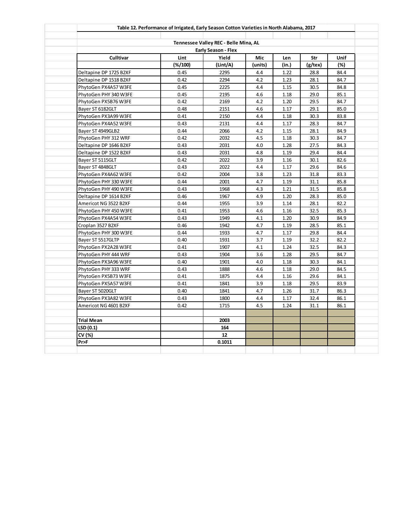|                        |           | Tennessee Valley REC - Belle Mina, AL |         |       |            |             |
|------------------------|-----------|---------------------------------------|---------|-------|------------|-------------|
|                        |           | <b>Early Season - Flex</b>            |         |       |            |             |
| <b>Culltivar</b>       | Lint      | Yield                                 | Mic     | Len   | Str        | <b>Unif</b> |
|                        | $(*/100)$ | (Lint/A)                              | (units) | (in.) | $(g$ /tex) | (%)         |
| Deltapine DP 1725 B2XF | 0.45      | 2295                                  | 4.4     | 1.22  | 28.8       | 84.4        |
| Deltapine DP 1518 B2XF | 0.42      | 2294                                  | 4.2     | 1.23  | 28.1       | 84.7        |
| PhytoGen PX4A57 W3FE   | 0.45      | 2225                                  | 4.4     | 1.15  | 30.5       | 84.8        |
| PhytoGen PHY 340 W3FE  | 0.45      | 2195                                  | 4.6     | 1.18  | 29.0       | 85.1        |
| PhytoGen PX5B76 W3FE   | 0.42      | 2169                                  | 4.2     | 1.20  | 29.5       | 84.7        |
| Bayer ST 6182GLT       | 0.48      | 2151                                  | 4.6     | 1.17  | 29.1       | 85.0        |
| PhytoGen PX3A99 W3FE   | 0.41      | 2150                                  | 4.4     | 1.18  | 30.3       | 83.8        |
| PhytoGen PX4A52 W3FE   | 0.43      | 2131                                  | 4.4     | 1.17  | 28.3       | 84.7        |
| Bayer ST 4949GLB2      | 0.44      | 2066                                  | 4.2     | 1.15  | 28.1       | 84.9        |
| PhytoGen PHY 312 WRF   | 0.42      | 2032                                  | 4.5     | 1.18  | 30.3       | 84.7        |
| Deltapine DP 1646 B2XF | 0.43      | 2031                                  | 4.0     | 1.28  | 27.5       | 84.3        |
| Deltapine DP 1522 B2XF | 0.43      | 2031                                  | 4.8     | 1.19  | 29.4       | 84.4        |
| Bayer ST 5115GLT       | 0.42      | 2022                                  | 3.9     | 1.16  | 30.1       | 82.6        |
| Bayer ST 4848GLT       | 0.43      | 2022                                  | 4.4     | 1.17  | 29.6       | 84.6        |
| PhytoGen PX4A62 W3FE   | 0.42      | 2004                                  | 3.8     | 1.23  | 31.8       | 83.3        |
| PhytoGen PHY 330 W3FE  | 0.44      | 2001                                  | 4.7     | 1.19  | 31.1       | 85.8        |
| PhytoGen PHY 490 W3FE  | 0.43      | 1968                                  | 4.3     | 1.21  | 31.5       | 85.8        |
| Deltapine DP 1614 B2XF | 0.46      | 1967                                  | 4.9     | 1.20  | 28.3       | 85.0        |
| Americot NG 3522 B2XF  | 0.44      | 1955                                  | 3.9     | 1.14  | 28.1       | 82.2        |
| PhytoGen PHY 450 W3FE  | 0.41      | 1953                                  | 4.6     | 1.16  | 32.5       | 85.3        |
| PhytoGen PX4A54 W3FE   | 0.43      | 1949                                  | 4.1     | 1.20  | 30.9       | 84.9        |
| Croplan 3527 B2XF      | 0.46      | 1942                                  | 4.7     | 1.19  | 28.5       | 85.1        |
| PhytoGen PHY 300 W3FE  | 0.44      | 1933                                  | 4.7     | 1.17  | 29.8       | 84.4        |
| Bayer ST 5517GLTP      | 0.40      | 1931                                  | 3.7     | 1.19  | 32.2       | 82.2        |
| PhytoGen PX2A28 W3FE   | 0.41      | 1907                                  | 4.1     | 1.24  | 32.5       | 84.3        |
| PhytoGen PHY 444 WRF   | 0.43      | 1904                                  | 3.6     | 1.28  | 29.5       | 84.7        |
| PhytoGen PX3A96 W3FE   | 0.40      | 1901                                  | 4.0     | 1.18  | 30.3       | 84.1        |
| PhytoGen PHY 333 WRF   | 0.43      | 1888                                  | 4.6     | 1.18  | 29.0       | 84.5        |
| PhytoGen PX5B73 W3FE   | 0.41      | 1875                                  | 4.4     | 1.16  | 29.6       | 84.1        |
| PhytoGen PX5A57 W3FE   | 0.41      | 1841                                  | 3.9     | 1.18  | 29.5       | 83.9        |
| Bayer ST 5020GLT       | 0.40      | 1841                                  | 4.7     | 1.26  | 31.7       | 86.3        |
| PhytoGen PX3A82 W3FE   | 0.43      | 1800                                  | 4.4     | 1.17  | 32.4       | 86.1        |
| Americot NG 4601 B2XF  | 0.42      | 1715                                  | 4.5     | 1.24  | 31.1       | 86.1        |
|                        |           |                                       |         |       |            |             |
| Trial Mean             |           | 2003                                  |         |       |            |             |
| LSD (0.1)              |           | 164                                   |         |       |            |             |
| CV (%)                 |           | 12                                    |         |       |            |             |
| Pr>F                   |           | 0.1011                                |         |       |            |             |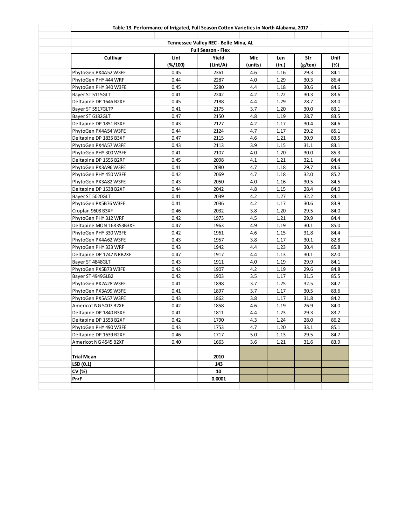|                          | Table 13. Performance of Irrigated, Full Season Cotton Varieties in North Alabama, 2017 |                                                                    |         |       |         |        |
|--------------------------|-----------------------------------------------------------------------------------------|--------------------------------------------------------------------|---------|-------|---------|--------|
|                          |                                                                                         |                                                                    |         |       |         |        |
|                          |                                                                                         | Tennessee Valley REC - Belle Mina, AL<br><b>Full Season - Flex</b> |         |       |         |        |
| Cultivar                 | Lint                                                                                    | Yield                                                              | Mic     | Len   | Str     | Unif   |
|                          | $(*/100)$                                                                               | (Lint/A)                                                           | (units) | (in.) | (g/tex) | $(\%)$ |
| PhytoGen PX4A52 W3FE     | 0.45                                                                                    | 2361                                                               | 4.6     | 1.16  | 29.3    | 84.1   |
| PhytoGen PHY 444 WRF     | 0.44                                                                                    | 2287                                                               | 4.0     | 1.29  | 30.3    | 86.4   |
| PhytoGen PHY 340 W3FE    | 0.45                                                                                    | 2280                                                               | 4.4     | 1.18  | 30.6    | 84.6   |
| Bayer ST 5115GLT         | 0.41                                                                                    | 2242                                                               | 4.2     | 1.22  | 30.3    | 83.6   |
| Deltapine DP 1646 B2XF   | 0.45                                                                                    | 2188                                                               | 4.4     | 1.29  | 28.7    | 83.0   |
| Bayer ST 5517GLTP        | 0.41                                                                                    | 2175                                                               | 3.7     | 1.20  | 30.0    | 83.1   |
| Bayer ST 6182GLT         | 0.47                                                                                    | 2150                                                               | 4.8     | 1.19  | 28.7    | 83.5   |
| Deltapine DP 1851 B3XF   | 0.43                                                                                    | 2127                                                               | 4.2     | 1.17  | 30.4    | 84.6   |
| PhytoGen PX4A54 W3FE     | 0.44                                                                                    | 2124                                                               | 4.7     | 1.17  | 29.2    | 85.1   |
| Deltapine DP 1835 B3XF   | 0.47                                                                                    | 2115                                                               | 4.6     | 1.21  | 30.9    | 83.5   |
| PhytoGen PX4A57 W3FE     | 0.43                                                                                    | 2113                                                               | 3.9     | 1.15  | 31.1    | 83.1   |
| PhytoGen PHY 300 W3FE    | 0.41                                                                                    | 2107                                                               | 4.0     | 1.20  | 30.0    | 85.3   |
| Deltapine DP 1555 B2RF   | 0.45                                                                                    | 2098                                                               | 4.1     | 1.21  | 32.1    | 84.4   |
| PhytoGen PX3A96 W3FE     | 0.41                                                                                    | 2080                                                               | 4.7     | 1.18  | 29.7    | 84.6   |
| PhytoGen PHY 450 W3FE    | 0.42                                                                                    | 2069                                                               | 4.7     | 1.18  | 32.0    | 85.2   |
| PhytoGen PX3A82 W3FE     | 0.43                                                                                    | 2050                                                               | 4.0     | 1.16  | 30.5    | 84.5   |
| Deltapine DP 1538 B2XF   | 0.44                                                                                    | 2042                                                               | 4.8     | 1.15  | 28.4    | 84.0   |
| Bayer ST 5020GLT         | 0.41                                                                                    | 2039                                                               | 4.2     | 1.27  | 32.2    | 84.1   |
| PhytoGen PX5B76 W3FE     | 0.41                                                                                    | 2036                                                               | 4.2     | 1.17  | 30.6    | 83.9   |
| Croplan 9608 B3XF        | 0.46                                                                                    | 2032                                                               | 3.8     | 1.20  | 29.5    | 84.0   |
| PhytoGen PHY 312 WRF     | 0.42                                                                                    | 1973                                                               | 4.5     | 1.21  | 29.9    | 84.4   |
| Deltapine MON 16R353B3XF | 0.47                                                                                    | 1963                                                               | 4.9     | 1.19  | 30.1    | 85.0   |
| PhytoGen PHY 330 W3FE    | 0.42                                                                                    | 1961                                                               | 4.6     | 1.15  | 31.8    | 84.4   |
| PhytoGen PX4A62 W3FE     | 0.43                                                                                    | 1957                                                               | 3.8     | 1.17  | 30.1    | 82.8   |
| PhytoGen PHY 333 WRF     | 0.43                                                                                    | 1942                                                               | 4.4     | 1.23  | 30.4    | 85.8   |
| Deltapine DP 1747 NRB2XF | 0.47                                                                                    | 1917                                                               | 4.4     | 1.13  | 30.1    | 82.0   |
| Bayer ST 4848GLT         | 0.43                                                                                    | 1911                                                               | 4.0     | 1.19  | 29.9    | 84.1   |
| PhytoGen PX5B73 W3FE     | 0.42                                                                                    | 1907                                                               | 4.2     | 1.19  | 29.6    | 84.8   |
| Bayer ST 4949GLB2        | 0.42                                                                                    | 1903                                                               | 3.5     | 1.17  | 31.5    | 85.5   |
| PhytoGen PX2A28 W3FE     | 0.41                                                                                    | 1898                                                               | 3.7     | 1.25  | 32.5    | 84.7   |
| PhytoGen PX3A99 W3FE     | 0.41                                                                                    | 1897                                                               | 3.7     | 1.17  | 30.5    | 83.6   |
| PhytoGen PX5A57 W3FE     | 0.43                                                                                    | 1862                                                               | 3.8     | 1.17  | 31.8    | 84.2   |
| Americot NG 5007 B2XF    | 0.42                                                                                    | 1858                                                               | 4.6     | 1.19  | 26.9    | 84.0   |
| Deltapine DP 1840 B3XF   | 0.41                                                                                    | 1811                                                               | 4.4     | 1.23  | 29.3    | 83.7   |
| Deltapine DP 1553 B2XF   | 0.42                                                                                    | 1790                                                               | 4.3     | 1.24  | 28.0    | 86.2   |
| PhytoGen PHY 490 W3FE    | 0.43                                                                                    | 1753                                                               | 4.7     | 1.20  | 33.1    | 85.1   |
| Deltapine DP 1639 B2XF   | 0.46                                                                                    | 1717                                                               | 5.0     | 1.13  | 29.5    | 84.7   |
| Americot NG 4545 B2XF    | 0.40                                                                                    | 1663                                                               | 3.6     | 1.21  | 31.6    | 83.9   |
|                          |                                                                                         |                                                                    |         |       |         |        |
| <b>Trial Mean</b>        |                                                                                         | 2010                                                               |         |       |         |        |
| LSD (0.1)                |                                                                                         | 143                                                                |         |       |         |        |
| CV (%)                   |                                                                                         | 10                                                                 |         |       |         |        |
| Pr>F                     |                                                                                         | 0.0001                                                             |         |       |         |        |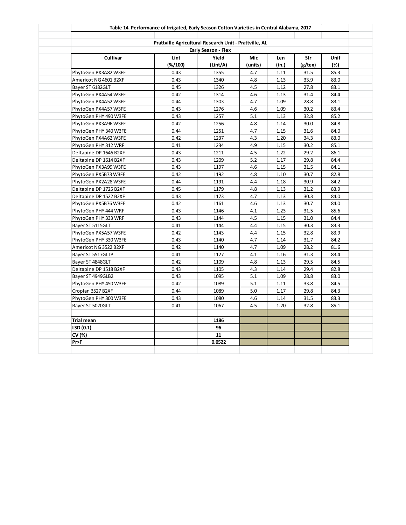|                        | Prattville Agricultural Research Unit - Prattville, AL |                            |         |       |         |      |
|------------------------|--------------------------------------------------------|----------------------------|---------|-------|---------|------|
|                        |                                                        | <b>Early Season - Flex</b> |         |       |         |      |
| Cultivar               | Lint                                                   | Yield                      | Mic     | Len   | Str     | Unif |
|                        | (%/100)                                                | (Lint/A)                   | (units) | (in.) | (g/tex) | (%)  |
| PhytoGen PX3A82 W3FE   | 0.43                                                   | 1355                       | 4.7     | 1.11  | 31.5    | 85.3 |
| Americot NG 4601 B2XF  | 0.43                                                   | 1340                       | 4.8     | 1.13  | 33.9    | 83.0 |
| Bayer ST 6182GLT       | 0.45                                                   | 1326                       | 4.5     | 1.12  | 27.8    | 83.1 |
| PhytoGen PX4A54 W3FE   | 0.42                                                   | 1314                       | 4.6     | 1.13  | 31.4    | 84.4 |
| PhytoGen PX4A52 W3FE   | 0.44                                                   | 1303                       | 4.7     | 1.09  | 28.8    | 83.1 |
| PhytoGen PX4A57 W3FE   | 0.43                                                   | 1276                       | 4.6     | 1.09  | 30.2    | 83.4 |
| PhytoGen PHY 490 W3FE  | 0.43                                                   | 1257                       | 5.1     | 1.13  | 32.8    | 85.2 |
| PhytoGen PX3A96 W3FE   | 0.42                                                   | 1256                       | 4.8     | 1.14  | 30.0    | 84.8 |
| PhytoGen PHY 340 W3FE  | 0.44                                                   | 1251                       | 4.7     | 1.15  | 31.6    | 84.0 |
| PhytoGen PX4A62 W3FE   | 0.42                                                   | 1237                       | 4.3     | 1.20  | 34.3    | 83.0 |
| PhytoGen PHY 312 WRF   | 0.41                                                   | 1234                       | 4.9     | 1.15  | 30.2    | 85.1 |
| Deltapine DP 1646 B2XF | 0.43                                                   | 1211                       | 4.5     | 1.22  | 29.2    | 86.1 |
| Deltapine DP 1614 B2XF | 0.43                                                   | 1209                       | 5.2     | 1.17  | 29.8    | 84.4 |
| PhytoGen PX3A99 W3FE   | 0.43                                                   | 1197                       | 4.6     | 1.15  | 31.5    | 84.1 |
| PhytoGen PX5B73 W3FE   | 0.42                                                   | 1192                       | 4.8     | 1.10  | 30.7    | 82.8 |
| PhytoGen PX2A28 W3FE   | 0.44                                                   | 1191                       | 4.4     | 1.18  | 30.9    | 84.2 |
| Deltapine DP 1725 B2XF | 0.45                                                   | 1179                       | 4.8     | 1.13  | 31.2    | 83.9 |
| Deltapine DP 1522 B2XF | 0.43                                                   | 1173                       | 4.7     | 1.13  | 30.3    | 84.0 |
| PhytoGen PX5B76 W3FE   | 0.42                                                   | 1161                       | 4.6     | 1.13  | 30.7    | 84.0 |
| PhytoGen PHY 444 WRF   | 0.43                                                   | 1146                       | 4.1     | 1.23  | 31.5    | 85.6 |
| PhytoGen PHY 333 WRF   | 0.43                                                   | 1144                       | 4.5     | 1.15  | 31.0    | 84.4 |
| Bayer ST 5115GLT       | 0.41                                                   | 1144                       | 4.4     | 1.15  | 30.3    | 83.3 |
| PhytoGen PX5A57 W3FE   | 0.42                                                   | 1143                       | 4.4     | 1.15  | 32.8    | 83.9 |
| PhytoGen PHY 330 W3FE  | 0.43                                                   | 1140                       | 4.7     | 1.14  | 31.7    | 84.2 |
| Americot NG 3522 B2XF  | 0.42                                                   | 1140                       | 4.7     | 1.09  | 28.2    | 81.6 |
| Bayer ST 5517GLTP      | 0.41                                                   | 1127                       | 4.1     | 1.16  | 31.3    | 83.4 |
| Bayer ST 4848GLT       | 0.42                                                   | 1109                       | 4.8     | 1.13  | 29.5    | 84.5 |
| Deltapine DP 1518 B2XF | 0.43                                                   | 1105                       | 4.3     | 1.14  | 29.4    | 82.8 |
| Bayer ST 4949GLB2      | 0.43                                                   | 1095                       | 5.1     | 1.09  | 28.8    | 83.0 |
| PhytoGen PHY 450 W3FE  | 0.42                                                   | 1089                       | 5.1     | 1.11  | 33.8    | 84.5 |
| Croplan 3527 B2XF      | 0.44                                                   | 1089                       | 5.0     | 1.17  | 29.8    | 84.3 |
| PhytoGen PHY 300 W3FE  | 0.43                                                   | 1080                       | 4.6     | 1.14  | 31.5    | 83.3 |
| Bayer ST 5020GLT       | 0.41                                                   | 1067                       | 4.5     | 1.20  | 32.8    | 85.1 |
|                        |                                                        |                            |         |       |         |      |
| Trial mean             |                                                        | 1186                       |         |       |         |      |
| LSD (0.1)              |                                                        | 96                         |         |       |         |      |
| CV (%)                 |                                                        | 11                         |         |       |         |      |
| Pr>F                   |                                                        | 0.0522                     |         |       |         |      |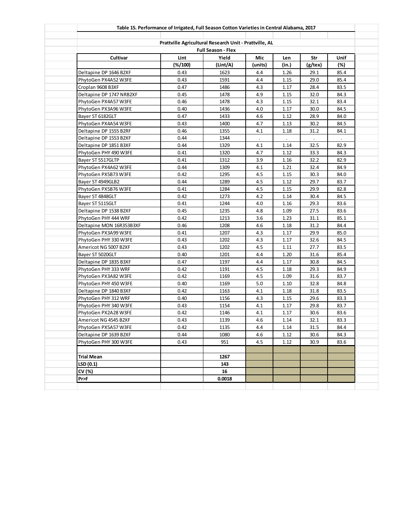|                          | Table 15. Performance of Irrigated, Full Season Cotton Varieties in Central Alabama, 2017 |                           |         |       |         |      |
|--------------------------|-------------------------------------------------------------------------------------------|---------------------------|---------|-------|---------|------|
|                          |                                                                                           |                           |         |       |         |      |
|                          | Prattville Agricultural Research Unit - Prattville, AL                                    | <b>Full Season - Flex</b> |         |       |         |      |
| Cultivar                 | Lint                                                                                      | Yield                     | Mic     | Len   | Str     | Unif |
|                          | $(\frac{4}{100})$                                                                         | (Lint/A)                  | (units) | (in.) | (g/tex) | (%)  |
| Deltapine DP 1646 B2XF   | 0.43                                                                                      | 1623                      | 4.4     | 1.26  | 29.1    | 85.4 |
| PhytoGen PX4A52 W3FE     | 0.43                                                                                      | 1591                      | 4.4     | 1.15  | 29.0    | 85.4 |
| Croplan 9608 B3XF        | 0.47                                                                                      | 1486                      | 4.3     | 1.17  | 28.4    | 83.5 |
| Deltapine DP 1747 NRB2XF | 0.45                                                                                      | 1478                      | 4.9     | 1.15  | 32.0    | 84.3 |
| PhytoGen PX4A57 W3FE     | 0.46                                                                                      | 1478                      | 4.3     | 1.15  | 32.1    | 83.4 |
| PhytoGen PX3A96 W3FE     | 0.40                                                                                      | 1436                      | 4.0     | 1.17  | 30.0    | 84.5 |
| Bayer ST 6182GLT         | 0.47                                                                                      | 1433                      | 4.6     | 1.12  | 28.9    | 84.0 |
| PhytoGen PX4A54 W3FE     | 0.43                                                                                      | 1400                      | 4.7     | 1.13  | 30.2    | 84.5 |
| Deltapine DP 1555 B2RF   | 0.46                                                                                      | 1355                      | 4.1     | 1.18  | 31.2    | 84.1 |
| Deltapine DP 1553 B2XF   | 0.44                                                                                      | 1344                      |         |       |         |      |
| Deltapine DP 1851 B3XF   | 0.44                                                                                      | 1329                      | 4.1     | 1.14  | 32.5    | 82.9 |
| PhytoGen PHY 490 W3FE    | 0.41                                                                                      | 1320                      | 4.7     | 1.12  | 33.3    | 84.3 |
| Bayer ST 5517GLTP        | 0.41                                                                                      | 1312                      | 3.9     | 1.16  | 32.2    | 82.9 |
| PhytoGen PX4A62 W3FE     | 0.44                                                                                      | 1309                      | 4.1     | 1.21  | 32.4    | 84.9 |
| PhytoGen PX5B73 W3FE     | 0.42                                                                                      | 1295                      | 4.5     | 1.15  | 30.3    | 84.0 |
| Bayer ST 4949GLB2        | 0.44                                                                                      | 1289                      | 4.5     | 1.12  | 29.7    | 83.7 |
| PhytoGen PX5B76 W3FE     | 0.41                                                                                      | 1284                      | 4.5     | 1.15  | 29.9    | 82.8 |
| Bayer ST 4848GLT         | 0.42                                                                                      | 1273                      | 4.2     | 1.14  | 30.4    | 84.5 |
| Bayer ST 5115GLT         | 0.41                                                                                      | 1244                      | 4.0     | 1.16  | 29.3    | 83.6 |
| Deltapine DP 1538 B2XF   | 0.45                                                                                      | 1235                      | 4.8     | 1.09  | 27.5    | 83.6 |
| PhytoGen PHY 444 WRF     | 0.42                                                                                      | 1213                      | 3.6     | 1.23  | 31.1    | 85.1 |
| Deltapine MON 16R353B3XF | 0.46                                                                                      | 1208                      | 4.6     | 1.18  | 31.2    | 84.4 |
| PhytoGen PX3A99 W3FE     | 0.41                                                                                      | 1207                      | 4.3     | 1.17  | 29.9    | 85.0 |
| PhytoGen PHY 330 W3FE    | 0.43                                                                                      | 1202                      | 4.3     | 1.17  | 32.6    | 84.5 |
| Americot NG 5007 B2XF    | 0.43                                                                                      | 1202                      | 4.5     | 1.11  | 27.7    | 83.5 |
| Bayer ST 5020GLT         | 0.40                                                                                      | 1201                      | 4.4     | 1.20  | 31.6    | 85.4 |
| Deltapine DP 1835 B3XF   | 0.47                                                                                      | 1197                      | 4.4     | 1.17  | 30.8    | 84.5 |
| PhytoGen PHY 333 WRF     | 0.42                                                                                      | 1191                      | 4.5     | 1.18  | 29.3    | 84.9 |
| PhytoGen PX3A82 W3FE     | 0.42                                                                                      | 1169                      | 4.5     | 1.09  | 31.6    | 83.7 |
| PhytoGen PHY 450 W3FE    | 0.40                                                                                      | 1169                      | 5.0     | 1.10  | 32.8    | 84.8 |
| Deltapine DP 1840 B3XF   | 0.42                                                                                      | 1163                      | 4.1     | 1.18  | 31.8    | 83.5 |
| PhytoGen PHY 312 WRF     | 0.40                                                                                      | 1156                      | 4.3     | 1.15  | 29.6    | 83.3 |
| PhytoGen PHY 340 W3FE    | 0.43                                                                                      | 1154                      | 4.1     | 1.17  | 29.8    | 83.7 |
| PhytoGen PX2A28 W3FE     | 0.42                                                                                      | 1146                      | 4.1     | 1.17  | 30.6    | 83.6 |
| Americot NG 4545 B2XF    | 0.43                                                                                      | 1139                      | 4.6     | 1.14  | 32.1    | 83.3 |
| PhytoGen PX5A57 W3FE     | 0.42                                                                                      | 1135                      | 4.4     | 1.14  | 31.5    | 84.4 |
| Deltapine DP 1639 B2XF   | 0.44                                                                                      | 1080                      | 4.6     | 1.12  | 30.6    | 84.3 |
| PhytoGen PHY 300 W3FE    | 0.43                                                                                      | 951                       | 4.5     | 1.12  | 30.9    | 83.6 |
|                          |                                                                                           |                           |         |       |         |      |
| <b>Trial Mean</b>        |                                                                                           | 1267                      |         |       |         |      |
| LSD(0.1)                 |                                                                                           | 143                       |         |       |         |      |
| CV (%)                   |                                                                                           | 16                        |         |       |         |      |
| Pr>F                     |                                                                                           | 0.0018                    |         |       |         |      |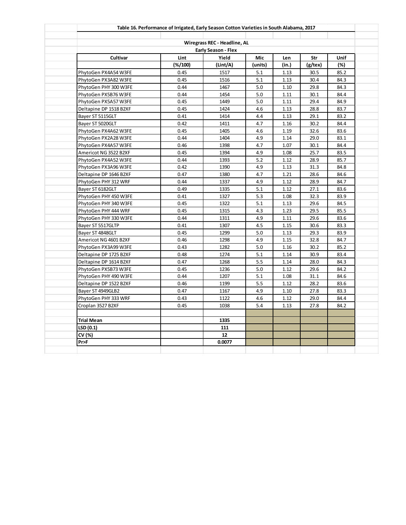|                                              |                           | Wiregrass REC - Headline, AL |            |              |              |              |
|----------------------------------------------|---------------------------|------------------------------|------------|--------------|--------------|--------------|
|                                              |                           | <b>Early Season - Flex</b>   |            |              |              |              |
| Cultivar                                     | Lint                      | Yield                        | Mic        | Len          | Str          | <b>Unif</b>  |
|                                              | $(\frac{6}{100})$<br>0.45 | (Lint/A)                     | (units)    | (in.)        | $(g$ /tex)   | (%)          |
| PhytoGen PX4A54 W3FE                         |                           | 1517                         | 5.1        | 1.13         | 30.5         | 85.2         |
| PhytoGen PX3A82 W3FE                         | 0.45                      | 1516                         | 5.1        | 1.13         | 30.4         | 84.3         |
| PhytoGen PHY 300 W3FE                        | 0.44<br>0.44              | 1467<br>1454                 | 5.0<br>5.0 | 1.10<br>1.11 | 29.8<br>30.1 | 84.3<br>84.4 |
| PhytoGen PX5B76 W3FE                         | 0.45                      |                              | 5.0        |              | 29.4         |              |
| PhytoGen PX5A57 W3FE                         | 0.45                      | 1449<br>1424                 | 4.6        | 1.11<br>1.13 | 28.8         | 84.9<br>83.7 |
| Deltapine DP 1518 B2XF                       | 0.41                      | 1414                         | 4.4        | 1.13         | 29.1         | 83.2         |
| Bayer ST 5115GLT                             | 0.42                      |                              | 4.7        |              | 30.2         | 84.4         |
| Bayer ST 5020GLT                             |                           | 1411                         |            | 1.16         |              |              |
| PhytoGen PX4A62 W3FE<br>PhytoGen PX2A28 W3FE | 0.45<br>0.44              | 1405<br>1404                 | 4.6<br>4.9 | 1.19<br>1.14 | 32.6<br>29.0 | 83.6<br>83.1 |
|                                              |                           |                              | 4.7        |              |              |              |
| PhytoGen PX4A57 W3FE                         | 0.46<br>0.45              | 1398<br>1394                 | 4.9        | 1.07<br>1.08 | 30.1<br>25.7 | 84.4<br>83.5 |
| Americot NG 3522 B2XF                        |                           |                              |            |              |              |              |
| PhytoGen PX4A52 W3FE                         | 0.44<br>0.42              | 1393                         | 5.2<br>4.9 | 1.12         | 28.9         | 85.7         |
| PhytoGen PX3A96 W3FE                         | 0.47                      | 1390                         |            | 1.13         | 31.3         | 84.8         |
| Deltapine DP 1646 B2XF                       |                           | 1380                         | 4.7        | 1.21         | 28.6         | 84.6         |
| PhytoGen PHY 312 WRF                         | 0.44                      | 1337                         | 4.9        | 1.12         | 28.9         | 84.7         |
| Bayer ST 6182GLT                             | 0.49                      | 1335                         | 5.1        | 1.12         | 27.1         | 83.6         |
| PhytoGen PHY 450 W3FE                        | 0.41                      | 1327                         | 5.3        | 1.08         | 32.3         | 83.9         |
| PhytoGen PHY 340 W3FE                        | 0.45                      | 1322                         | 5.1        | 1.13         | 29.6         | 84.5         |
| PhytoGen PHY 444 WRF                         | 0.45                      | 1315                         | 4.3        | 1.23         | 29.5         | 85.5         |
| PhytoGen PHY 330 W3FE                        | 0.44                      | 1311                         | 4.9        | 1.11         | 29.6         | 83.6         |
| Bayer ST 5517GLTP                            | 0.41                      | 1307                         | 4.5        | 1.15         | 30.6         | 83.3         |
| Bayer ST 4848GLT                             | 0.45                      | 1299                         | 5.0        | 1.13         | 29.3         | 83.9         |
| Americot NG 4601 B2XF                        | 0.46                      | 1298                         | 4.9        | 1.15         | 32.8         | 84.7         |
| PhytoGen PX3A99 W3FE                         | 0.43                      | 1282                         | 5.0        | 1.16         | 30.2         | 85.2         |
| Deltapine DP 1725 B2XF                       | 0.48                      | 1274                         | 5.1        | 1.14         | 30.9         | 83.4         |
| Deltapine DP 1614 B2XF                       | 0.47                      | 1268                         | 5.5        | 1.14         | 28.0         | 84.3         |
| PhytoGen PX5B73 W3FE                         | 0.45                      | 1236                         | 5.0        | 1.12         | 29.6         | 84.2         |
| PhytoGen PHY 490 W3FE                        | 0.44                      | 1207                         | 5.1        | 1.08         | 31.1         | 84.6         |
| Deltapine DP 1522 B2XF                       | 0.46                      | 1199                         | 5.5        | 1.12         | 28.2         | 83.6         |
| Bayer ST 4949GLB2                            | 0.47                      | 1167                         | 4.9        | 1.10         | 27.8         | 83.3         |
| PhytoGen PHY 333 WRF                         | 0.43                      | 1122                         | 4.6        | 1.12         | 29.0         | 84.4         |
| Croplan 3527 B2XF                            | 0.45                      | 1038                         | 5.4        | 1.13         | 27.8         | 84.2         |
|                                              |                           |                              |            |              |              |              |
| Trial Mean                                   |                           | 1335                         |            |              |              |              |
| LSD (0.1)                                    |                           | 111                          |            |              |              |              |
| CV (%)                                       |                           | 12                           |            |              |              |              |
| Pr>F                                         |                           | 0.0077                       |            |              |              |              |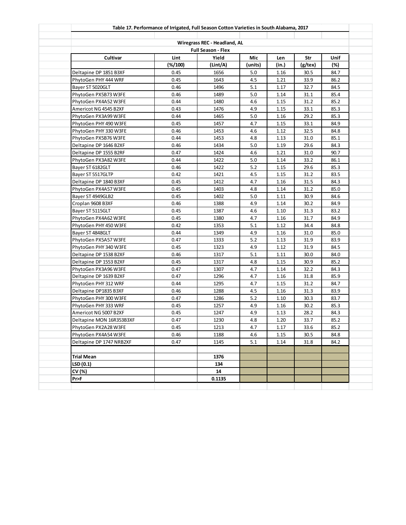|                          | Table 17. Performance of Irrigated, Full Season Cotton Varieties in South Alabama, 2017 |                                                           |         |          |         |      |
|--------------------------|-----------------------------------------------------------------------------------------|-----------------------------------------------------------|---------|----------|---------|------|
|                          |                                                                                         |                                                           |         |          |         |      |
|                          |                                                                                         | Wiregrass REC - Headland, AL<br><b>Full Season - Flex</b> |         |          |         |      |
| Cultivar                 | Lint                                                                                    | Yield                                                     | Mic     | Len      | Str     | Unif |
|                          | $(\frac{2}{100})$                                                                       | (Lint/A)                                                  | (units) | (in.)    | (g/tex) | (%)  |
| Deltapine DP 1851 B3XF   | 0.45                                                                                    | 1656                                                      | 5.0     | 1.16     | 30.5    | 84.7 |
| PhytoGen PHY 444 WRF     | 0.45                                                                                    | 1643                                                      | 4.5     | 1.21     | 33.9    | 86.2 |
| Bayer ST 5020GLT         | 0.46                                                                                    | 1496                                                      | 5.1     | 1.17     | 32.7    | 84.5 |
| PhytoGen PX5B73 W3FE     | 0.46                                                                                    | 1489                                                      | 5.0     | 1.14     | 31.1    | 85.4 |
| PhytoGen PX4A52 W3FE     | 0.44                                                                                    | 1480                                                      | 4.6     | 1.15     | 31.2    | 85.2 |
| Americot NG 4545 B2XF    | 0.43                                                                                    | 1476                                                      | 4.9     | 1.15     | 33.1    | 85.3 |
| PhytoGen PX3A99 W3FE     | 0.44                                                                                    | 1465                                                      | 5.0     | 1.16     | 29.2    | 85.3 |
| PhytoGen PHY 490 W3FE    | 0.45                                                                                    | 1457                                                      | 4.7     | 1.15     | 33.1    | 84.9 |
| PhytoGen PHY 330 W3FE    | 0.46                                                                                    | 1453                                                      | 4.6     | 1.12     | 32.5    | 84.8 |
| PhytoGen PX5B76 W3FE     | 0.44                                                                                    | 1453                                                      | 4.8     | 1.13     | 31.0    | 85.1 |
| Deltapine DP 1646 B2XF   | 0.46                                                                                    | 1434                                                      | 5.0     | 1.19     | 29.6    | 84.3 |
| Deltapine DP 1555 B2RF   | 0.47                                                                                    | 1424                                                      | 4.6     | 1.21     | 31.0    | 90.7 |
| PhytoGen PX3A82 W3FE     | 0.44                                                                                    | 1422                                                      | 5.0     | 1.14     | 33.2    | 86.1 |
| Bayer ST 6182GLT         | 0.46                                                                                    | 1422                                                      | 5.2     | 1.15     | 29.6    | 85.3 |
| Bayer ST 5517GLTP        | 0.42                                                                                    | 1421                                                      | 4.5     | 1.15     | 31.2    | 83.5 |
| Deltapine DP 1840 B3XF   | 0.45                                                                                    | 1412                                                      | 4.7     | 1.16     | 31.5    | 84.3 |
| PhytoGen PX4A57 W3FE     | 0.45                                                                                    | 1403                                                      | 4.8     | 1.14     | 31.2    | 85.0 |
| Bayer ST 4949GLB2        | 0.45                                                                                    | 1402                                                      | 5.0     | 1.11     | 30.9    | 84.6 |
| Croplan 9608 B3XF        | 0.46                                                                                    | 1388                                                      | 4.9     | 1.14     | 30.2    | 84.9 |
| Bayer ST 5115GLT         | 0.45                                                                                    | 1387                                                      | 4.6     | 1.10     | 31.3    | 83.2 |
| PhytoGen PX4A62 W3FE     | 0.45                                                                                    | 1380                                                      | 4.7     | 1.16     | 31.7    | 84.9 |
| PhytoGen PHY 450 W3FE    | 0.42                                                                                    | 1353                                                      | 5.1     | 1.12     | 34.4    | 84.8 |
| Bayer ST 4848GLT         | 0.44                                                                                    | 1349                                                      | 4.9     | 1.16     | 31.0    | 85.0 |
| PhytoGen PX5A57 W3FE     | 0.47                                                                                    | 1333                                                      | 5.2     | 1.13     | 31.9    | 83.9 |
| PhytoGen PHY 340 W3FE    | 0.45                                                                                    | 1323                                                      | 4.9     | 1.12     | 31.9    | 84.5 |
| Deltapine DP 1538 B2XF   | 0.46                                                                                    | 1317                                                      | 5.1     | 1.11     | 30.0    | 84.0 |
| Deltapine DP 1553 B2XF   | 0.45                                                                                    | 1317                                                      | 4.8     | 1.15     | 30.9    | 85.2 |
| PhytoGen PX3A96 W3FE     | 0.47                                                                                    | 1307                                                      | 4.7     | 1.14     | 32.2    | 84.3 |
| Deltapine DP 1639 B2XF   | 0.47                                                                                    | 1296                                                      | 4.7     | 1.16     | 31.8    | 85.9 |
| PhytoGen PHY 312 WRF     | 0.44                                                                                    | 1295                                                      | 4.7     | 1.15     | 31.2    | 84.7 |
| Deltapine DP1835 B3XF    | 0.46                                                                                    | 1288                                                      | 4.5     | 1.16     | 31.3    | 83.9 |
| PhytoGen PHY 300 W3FE    | 0.47                                                                                    | 1286                                                      | 5.2     | 1.10     | 30.3    | 83.7 |
| PhytoGen PHY 333 WRF     | 0.45                                                                                    | 1257                                                      | 4.9     | 1.16     | 30.2    | 85.3 |
| Americot NG 5007 B2XF    | 0.45                                                                                    | 1247                                                      | 4.9     | 1.13     | 28.2    | 84.3 |
| Deltapine MON 16R353B3XF | 0.47                                                                                    | 1230                                                      | $4.8\,$ | $1.20\,$ | 33.7    | 85.2 |
| PhytoGen PX2A28 W3FE     | 0.45                                                                                    | 1213                                                      | 4.7     | 1.17     | 33.6    | 85.2 |
| PhytoGen PX4A54 W3FE     | 0.46                                                                                    | 1188                                                      | 4.6     | 1.15     | 30.5    | 84.8 |
| Deltapine DP 1747 NRB2XF | 0.47                                                                                    | 1145                                                      | 5.1     | 1.14     | 31.8    | 84.2 |
|                          |                                                                                         |                                                           |         |          |         |      |
| <b>Trial Mean</b>        |                                                                                         | 1376                                                      |         |          |         |      |
| LSD(0.1)                 |                                                                                         | 134                                                       |         |          |         |      |
| CV (%)                   |                                                                                         | 14                                                        |         |          |         |      |
| Pr>F                     |                                                                                         | 0.1135                                                    |         |          |         |      |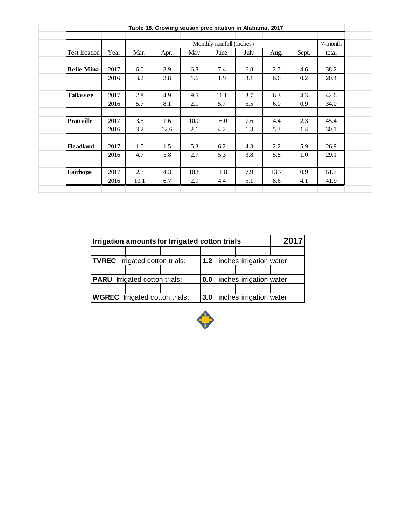|                   |      |      |      |      | Table 18. Growing season precipitation in Alabama, 2017 |      |         |       |         |
|-------------------|------|------|------|------|---------------------------------------------------------|------|---------|-------|---------|
|                   |      |      |      |      | Monthly rainfall (inches)                               |      |         |       | 7-month |
| Test location     | Year | Mar. | Apr. | May  | June                                                    | July | Aug.    | Sept. | total   |
| <b>Belle Mina</b> | 2017 | 6.0  | 3.9  | 6.8  | 7.4                                                     | 6.8  | 2.7     | 4.6   | 38.2    |
|                   | 2016 | 3.2  | 3.8  | 1.6  | 1.9                                                     | 3.1  | 6.6     | 0.2   | 20.4    |
| <b>Tallassee</b>  | 2017 | 2.8  | 4.9  | 9.5  | 11.1                                                    | 3.7  | 6.3     | 4.3   | 42.6    |
|                   | 2016 | 5.7  | 8.1  | 2.1  | 5.7                                                     | 5.5  | 6.0     | 0.9   | 34.0    |
| <b>Prattville</b> | 2017 | 3.5  | 1.6  | 10.0 | 16.0                                                    | 7.6  | 4.4     | 2.3   | 45.4    |
|                   | 2016 | 3.2  | 12.6 | 2.1  | 4.2                                                     | 1.3  | 5.3     | 1.4   | 30.1    |
| <b>Headland</b>   | 2017 | 1.5  | 1.5  | 5.3  | 6.2                                                     | 4.3  | $2.2\,$ | 5.9   | 26.9    |
|                   | 2016 | 4.7  | 5.8  | 2.7  | 5.3                                                     | 3.8  | 5.8     | 1.0   | 29.1    |
| Fairhope          | 2017 | 2.3  | 4.3  | 10.8 | 11.8                                                    | 7.9  | 13.7    | 0.9   | 51.7    |
|                   | 2016 | 10.1 | 6.7  | 2.9  | 4.4                                                     | 5.1  | 8.6     | 4.1   | 41.9    |

|                                       | Irrigation amounts for Irrigated cotton trials |  |      |                             |                         | <b>2017</b> |  |  |  |  |
|---------------------------------------|------------------------------------------------|--|------|-----------------------------|-------------------------|-------------|--|--|--|--|
|                                       |                                                |  |      |                             |                         |             |  |  |  |  |
| <b>TVREC</b> Irrigated cotton trials: |                                                |  |      | 1.2 inches irrigation water |                         |             |  |  |  |  |
|                                       |                                                |  |      |                             |                         |             |  |  |  |  |
|                                       | <b>PARU</b> Irrigated cotton trials:           |  | 10.0 |                             | inches irrigation water |             |  |  |  |  |
|                                       |                                                |  |      |                             |                         |             |  |  |  |  |
| <b>WGREC</b> Irrigated cotton trials: |                                                |  |      | 3.0 inches irrigation water |                         |             |  |  |  |  |

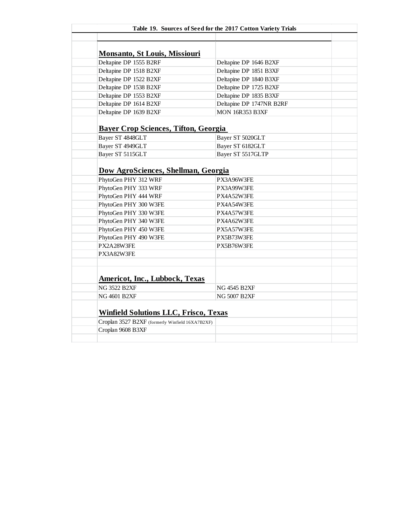|                                                 | Table 19. Sources of Seed for the 2017 Cotton Variety Trials |
|-------------------------------------------------|--------------------------------------------------------------|
|                                                 |                                                              |
|                                                 |                                                              |
| <b>Monsanto, St Louis, Missiouri</b>            |                                                              |
| Deltapine DP 1555 B2RF                          | Deltapine DP 1646 B2XF                                       |
| Deltapine DP 1518 B2XF                          | Deltapine DP 1851 B3XF                                       |
| Deltapine DP 1522 B2XF                          | Deltapine DP 1840 B3XF                                       |
| Deltapine DP 1538 B2XF                          | Deltapine DP 1725 B2XF                                       |
| Deltapine DP 1553 B2XF                          | Deltapine DP 1835 B3XF                                       |
| Deltapine DP 1614 B2XF                          | Deltapine DP 1747NR B2RF                                     |
| Deltapine DP 1639 B2XF                          | <b>MON 16R353 B3XF</b>                                       |
| <b>Bayer Crop Sciences, Tifton, Georgia</b>     |                                                              |
| Bayer ST 4848GLT                                | Bayer ST 5020GLT                                             |
| Bayer ST 4949GLT                                | Bayer ST 6182GLT                                             |
| Bayer ST 5115GLT                                | Bayer ST 5517GLTP                                            |
| Dow AgroSciences, Shellman, Georgia             |                                                              |
| PhytoGen PHY 312 WRF                            | PX3A96W3FE                                                   |
| PhytoGen PHY 333 WRF                            | PX3A99W3FE                                                   |
| PhytoGen PHY 444 WRF                            | PX4A52W3FE                                                   |
| PhytoGen PHY 300 W3FE                           | PX4A54W3FE                                                   |
| PhytoGen PHY 330 W3FE                           | PX4A57W3FE                                                   |
| PhytoGen PHY 340 W3FE                           | PX4A62W3FE                                                   |
| PhytoGen PHY 450 W3FE                           | PX5A57W3FE                                                   |
| PhytoGen PHY 490 W3FE                           | PX5B73W3FE                                                   |
| PX2A28W3FE                                      | PX5B76W3FE                                                   |
| PX3A82W3FE                                      |                                                              |
|                                                 |                                                              |
| <b>Americot, Inc., Lubbock, Texas</b>           |                                                              |
| <b>NG 3522 B2XF</b>                             | <b>NG 4545 B2XF</b>                                          |
|                                                 | <b>NG 5007 B2XF</b>                                          |
|                                                 |                                                              |
| <b>NG 4601 B2XF</b>                             |                                                              |
| <b>Winfield Solutions LLC, Frisco, Texas</b>    |                                                              |
| Croplan 3527 B2XF (formerly Winfield 16XA7B2XF) |                                                              |